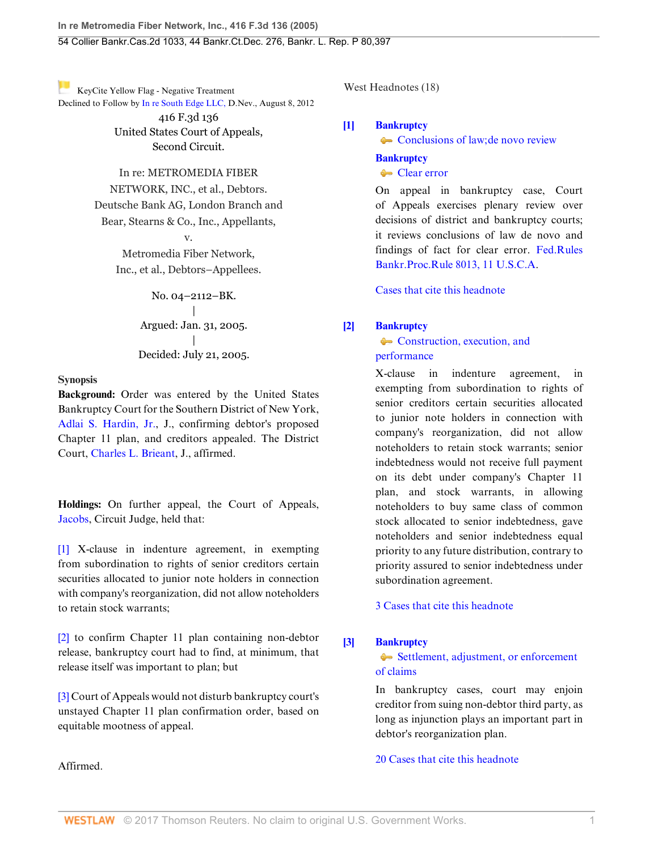[K](https://1.next.westlaw.com/Link/RelatedInformation/Flag?documentGuid=Iec8c98defa3811d9bf60c1d57ebc853e&transitionType=Document&originationContext=docHeaderFlag&contextData=(sc.UserEnteredCitation))eyCite Yellow Flag - Negative Treatment Declined to Follow by [In re South Edge LLC,](https://1.next.westlaw.com/Document/If9010b15e51311e1b343c837631e1747/View/FullText.html?navigationPath=RelatedInfo%2Fv4%2Fkeycite%2Fnav%2F%3Fguid%3DIf9010b15e51311e1b343c837631e1747%26ss%3D2006977761%26ds%3D2028392023&listSource=RelatedInfo&list=NegativeCitingReferences&rank=0&originationContext=docHeader&transitionType=NegativeTreatment&contextData=%28sc.UserEnteredCitation%29) D.Nev., August 8, 2012

416 F.3d 136 United States Court of Appeals, Second Circuit.

# In re: METROMEDIA FIBER

NETWORK, INC., et al., Debtors. Deutsche Bank AG, London Branch and Bear, Stearns & Co., Inc., Appellants,

> v. Metromedia Fiber Network, Inc., et al., Debtors–Appellees.

> > No. 04–2112–BK. | Argued: Jan. 31, 2005. | Decided: July 21, 2005.

### **Synopsis**

**Background:** Order was entered by the United States Bankruptcy Court for the Southern District of New York, [Adlai S. Hardin, Jr.,](http://www.westlaw.com/Link/Document/FullText?findType=h&pubNum=176284&cite=0330909801&originatingDoc=Iec8c98defa3811d9bf60c1d57ebc853e&refType=RQ&originationContext=document&vr=3.0&rs=cblt1.0&transitionType=DocumentItem&contextData=(sc.UserEnteredCitation)) J., confirming debtor's proposed Chapter 11 plan, and creditors appealed. The District Court, [Charles L. Brieant,](http://www.westlaw.com/Link/Document/FullText?findType=h&pubNum=176284&cite=0252024801&originatingDoc=Iec8c98defa3811d9bf60c1d57ebc853e&refType=RQ&originationContext=document&vr=3.0&rs=cblt1.0&transitionType=DocumentItem&contextData=(sc.UserEnteredCitation)) J., affirmed.

**Holdings:** On further appeal, the Court of Appeals, [Jacobs,](http://www.westlaw.com/Link/Document/FullText?findType=h&pubNum=176284&cite=0179982801&originatingDoc=Iec8c98defa3811d9bf60c1d57ebc853e&refType=RQ&originationContext=document&vr=3.0&rs=cblt1.0&transitionType=DocumentItem&contextData=(sc.UserEnteredCitation)) Circuit Judge, held that:

[\[1\]](#page-0-0) X-clause in indenture agreement, in exempting from subordination to rights of senior creditors certain securities allocated to junior note holders in connection with company's reorganization, did not allow noteholders to retain stock warrants;

[\[2\]](#page-1-0) to confirm Chapter 11 plan containing non-debtor release, bankruptcy court had to find, at minimum, that release itself was important to plan; but

[\[3\]](#page-2-0) Court of Appeals would not disturb bankruptcy court's unstayed Chapter 11 plan confirmation order, based on equitable mootness of appeal.

Affirmed.

West Headnotes (18)

## <span id="page-0-1"></span>**[\[1\]](#page-3-0) [Bankruptcy](http://www.westlaw.com/Browse/Home/KeyNumber/51/View.html?docGuid=Iec8c98defa3811d9bf60c1d57ebc853e&originationContext=document&vr=3.0&rs=cblt1.0&transitionType=DocumentItem&contextData=(sc.UserEnteredCitation))**

[Conclusions of law; de novo review](http://www.westlaw.com/Browse/Home/KeyNumber/51k3782/View.html?docGuid=Iec8c98defa3811d9bf60c1d57ebc853e&originationContext=document&vr=3.0&rs=cblt1.0&transitionType=DocumentItem&contextData=(sc.UserEnteredCitation))

# **[Bankruptcy](http://www.westlaw.com/Browse/Home/KeyNumber/51/View.html?docGuid=Iec8c98defa3811d9bf60c1d57ebc853e&originationContext=document&vr=3.0&rs=cblt1.0&transitionType=DocumentItem&contextData=(sc.UserEnteredCitation))**

[Clear error](http://www.westlaw.com/Browse/Home/KeyNumber/51k3786/View.html?docGuid=Iec8c98defa3811d9bf60c1d57ebc853e&originationContext=document&vr=3.0&rs=cblt1.0&transitionType=DocumentItem&contextData=(sc.UserEnteredCitation))

On appeal in bankruptcy case, Court of Appeals exercises plenary review over decisions of district and bankruptcy courts; it reviews conclusions of law de novo and findings of fact for clear error. [Fed.Rules](http://www.westlaw.com/Link/Document/FullText?findType=L&pubNum=1004365&cite=USFRBPR8013&originatingDoc=Iec8c98defa3811d9bf60c1d57ebc853e&refType=LQ&originationContext=document&vr=3.0&rs=cblt1.0&transitionType=DocumentItem&contextData=(sc.UserEnteredCitation)) [Bankr.Proc.Rule 8013, 11 U.S.C.A.](http://www.westlaw.com/Link/Document/FullText?findType=L&pubNum=1004365&cite=USFRBPR8013&originatingDoc=Iec8c98defa3811d9bf60c1d57ebc853e&refType=LQ&originationContext=document&vr=3.0&rs=cblt1.0&transitionType=DocumentItem&contextData=(sc.UserEnteredCitation))

[Cases that cite this headnote](http://www.westlaw.com/Link/RelatedInformation/DocHeadnoteLink?docGuid=Iec8c98defa3811d9bf60c1d57ebc853e&headnoteId=200697776100120130815031007&originationContext=document&vr=3.0&rs=cblt1.0&transitionType=CitingReferences&contextData=(sc.UserEnteredCitation))

## <span id="page-0-0"></span>**[\[2\]](#page-3-1) [Bankruptcy](http://www.westlaw.com/Browse/Home/KeyNumber/51/View.html?docGuid=Iec8c98defa3811d9bf60c1d57ebc853e&originationContext=document&vr=3.0&rs=cblt1.0&transitionType=DocumentItem&contextData=(sc.UserEnteredCitation))**

• [Construction, execution, and](http://www.westlaw.com/Browse/Home/KeyNumber/51k3570/View.html?docGuid=Iec8c98defa3811d9bf60c1d57ebc853e&originationContext=document&vr=3.0&rs=cblt1.0&transitionType=DocumentItem&contextData=(sc.UserEnteredCitation)) [performance](http://www.westlaw.com/Browse/Home/KeyNumber/51k3570/View.html?docGuid=Iec8c98defa3811d9bf60c1d57ebc853e&originationContext=document&vr=3.0&rs=cblt1.0&transitionType=DocumentItem&contextData=(sc.UserEnteredCitation))

X-clause in indenture agreement, in exempting from subordination to rights of senior creditors certain securities allocated to junior note holders in connection with company's reorganization, did not allow noteholders to retain stock warrants; senior indebtedness would not receive full payment on its debt under company's Chapter 11 plan, and stock warrants, in allowing noteholders to buy same class of common stock allocated to senior indebtedness, gave noteholders and senior indebtedness equal priority to any future distribution, contrary to priority assured to senior indebtedness under subordination agreement.

[3 Cases that cite this headnote](http://www.westlaw.com/Link/RelatedInformation/DocHeadnoteLink?docGuid=Iec8c98defa3811d9bf60c1d57ebc853e&headnoteId=200697776100220130815031007&originationContext=document&vr=3.0&rs=cblt1.0&transitionType=CitingReferences&contextData=(sc.UserEnteredCitation))

# <span id="page-0-2"></span>**[\[3\]](#page-5-0) [Bankruptcy](http://www.westlaw.com/Browse/Home/KeyNumber/51/View.html?docGuid=Iec8c98defa3811d9bf60c1d57ebc853e&originationContext=document&vr=3.0&rs=cblt1.0&transitionType=DocumentItem&contextData=(sc.UserEnteredCitation))**

[Settlement, adjustment, or enforcement](http://www.westlaw.com/Browse/Home/KeyNumber/51k3555/View.html?docGuid=Iec8c98defa3811d9bf60c1d57ebc853e&originationContext=document&vr=3.0&rs=cblt1.0&transitionType=DocumentItem&contextData=(sc.UserEnteredCitation)) [of claims](http://www.westlaw.com/Browse/Home/KeyNumber/51k3555/View.html?docGuid=Iec8c98defa3811d9bf60c1d57ebc853e&originationContext=document&vr=3.0&rs=cblt1.0&transitionType=DocumentItem&contextData=(sc.UserEnteredCitation))

In bankruptcy cases, court may enjoin creditor from suing non-debtor third party, as long as injunction plays an important part in debtor's reorganization plan.

[20 Cases that cite this headnote](http://www.westlaw.com/Link/RelatedInformation/DocHeadnoteLink?docGuid=Iec8c98defa3811d9bf60c1d57ebc853e&headnoteId=200697776100320130815031007&originationContext=document&vr=3.0&rs=cblt1.0&transitionType=CitingReferences&contextData=(sc.UserEnteredCitation))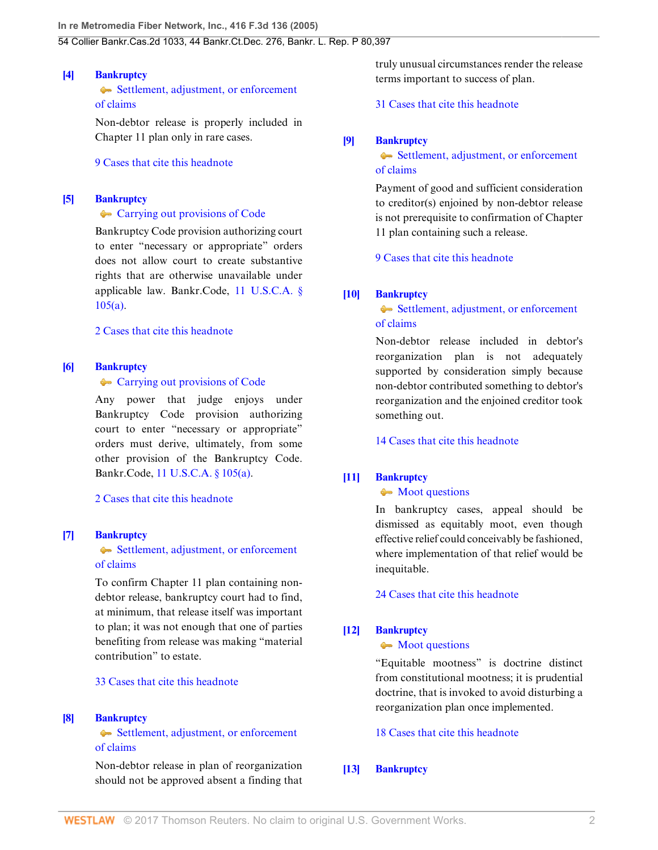### <span id="page-1-1"></span>**[\[4\]](#page-5-1) [Bankruptcy](http://www.westlaw.com/Browse/Home/KeyNumber/51/View.html?docGuid=Iec8c98defa3811d9bf60c1d57ebc853e&originationContext=document&vr=3.0&rs=cblt1.0&transitionType=DocumentItem&contextData=(sc.UserEnteredCitation))**

[Settlement, adjustment, or enforcement](http://www.westlaw.com/Browse/Home/KeyNumber/51k3555/View.html?docGuid=Iec8c98defa3811d9bf60c1d57ebc853e&originationContext=document&vr=3.0&rs=cblt1.0&transitionType=DocumentItem&contextData=(sc.UserEnteredCitation)) [of claims](http://www.westlaw.com/Browse/Home/KeyNumber/51k3555/View.html?docGuid=Iec8c98defa3811d9bf60c1d57ebc853e&originationContext=document&vr=3.0&rs=cblt1.0&transitionType=DocumentItem&contextData=(sc.UserEnteredCitation))

Non-debtor release is properly included in Chapter 11 plan only in rare cases.

[9 Cases that cite this headnote](http://www.westlaw.com/Link/RelatedInformation/DocHeadnoteLink?docGuid=Iec8c98defa3811d9bf60c1d57ebc853e&headnoteId=200697776100420130815031007&originationContext=document&vr=3.0&rs=cblt1.0&transitionType=CitingReferences&contextData=(sc.UserEnteredCitation))

#### <span id="page-1-2"></span>**[\[5\]](#page-6-0) [Bankruptcy](http://www.westlaw.com/Browse/Home/KeyNumber/51/View.html?docGuid=Iec8c98defa3811d9bf60c1d57ebc853e&originationContext=document&vr=3.0&rs=cblt1.0&transitionType=DocumentItem&contextData=(sc.UserEnteredCitation))**

#### **[Carrying out provisions of Code](http://www.westlaw.com/Browse/Home/KeyNumber/51k2126/View.html?docGuid=Iec8c98defa3811d9bf60c1d57ebc853e&originationContext=document&vr=3.0&rs=cblt1.0&transitionType=DocumentItem&contextData=(sc.UserEnteredCitation))**

Bankruptcy Code provision authorizing court to enter "necessary or appropriate" orders does not allow court to create substantive rights that are otherwise unavailable under applicable law. Bankr.Code, [11 U.S.C.A. §](http://www.westlaw.com/Link/Document/FullText?findType=L&pubNum=1000546&cite=11USCAS105&originatingDoc=Iec8c98defa3811d9bf60c1d57ebc853e&refType=RB&originationContext=document&vr=3.0&rs=cblt1.0&transitionType=DocumentItem&contextData=(sc.UserEnteredCitation)#co_pp_8b3b0000958a4) [105\(a\)](http://www.westlaw.com/Link/Document/FullText?findType=L&pubNum=1000546&cite=11USCAS105&originatingDoc=Iec8c98defa3811d9bf60c1d57ebc853e&refType=RB&originationContext=document&vr=3.0&rs=cblt1.0&transitionType=DocumentItem&contextData=(sc.UserEnteredCitation)#co_pp_8b3b0000958a4).

### [2 Cases that cite this headnote](http://www.westlaw.com/Link/RelatedInformation/DocHeadnoteLink?docGuid=Iec8c98defa3811d9bf60c1d57ebc853e&headnoteId=200697776100520130815031007&originationContext=document&vr=3.0&rs=cblt1.0&transitionType=CitingReferences&contextData=(sc.UserEnteredCitation))

### <span id="page-1-3"></span>**[\[6\]](#page-6-1) [Bankruptcy](http://www.westlaw.com/Browse/Home/KeyNumber/51/View.html?docGuid=Iec8c98defa3811d9bf60c1d57ebc853e&originationContext=document&vr=3.0&rs=cblt1.0&transitionType=DocumentItem&contextData=(sc.UserEnteredCitation))**

#### • [Carrying out provisions of Code](http://www.westlaw.com/Browse/Home/KeyNumber/51k2126/View.html?docGuid=Iec8c98defa3811d9bf60c1d57ebc853e&originationContext=document&vr=3.0&rs=cblt1.0&transitionType=DocumentItem&contextData=(sc.UserEnteredCitation))

Any power that judge enjoys under Bankruptcy Code provision authorizing court to enter "necessary or appropriate" orders must derive, ultimately, from some other provision of the Bankruptcy Code. Bankr.Code, [11 U.S.C.A. § 105\(a\)](http://www.westlaw.com/Link/Document/FullText?findType=L&pubNum=1000546&cite=11USCAS105&originatingDoc=Iec8c98defa3811d9bf60c1d57ebc853e&refType=RB&originationContext=document&vr=3.0&rs=cblt1.0&transitionType=DocumentItem&contextData=(sc.UserEnteredCitation)#co_pp_8b3b0000958a4).

[2 Cases that cite this headnote](http://www.westlaw.com/Link/RelatedInformation/DocHeadnoteLink?docGuid=Iec8c98defa3811d9bf60c1d57ebc853e&headnoteId=200697776100620130815031007&originationContext=document&vr=3.0&rs=cblt1.0&transitionType=CitingReferences&contextData=(sc.UserEnteredCitation))

#### <span id="page-1-0"></span>**[\[7\]](#page-6-2) [Bankruptcy](http://www.westlaw.com/Browse/Home/KeyNumber/51/View.html?docGuid=Iec8c98defa3811d9bf60c1d57ebc853e&originationContext=document&vr=3.0&rs=cblt1.0&transitionType=DocumentItem&contextData=(sc.UserEnteredCitation))**

[Settlement, adjustment, or enforcement](http://www.westlaw.com/Browse/Home/KeyNumber/51k3555/View.html?docGuid=Iec8c98defa3811d9bf60c1d57ebc853e&originationContext=document&vr=3.0&rs=cblt1.0&transitionType=DocumentItem&contextData=(sc.UserEnteredCitation)) [of claims](http://www.westlaw.com/Browse/Home/KeyNumber/51k3555/View.html?docGuid=Iec8c98defa3811d9bf60c1d57ebc853e&originationContext=document&vr=3.0&rs=cblt1.0&transitionType=DocumentItem&contextData=(sc.UserEnteredCitation))

To confirm Chapter 11 plan containing nondebtor release, bankruptcy court had to find, at minimum, that release itself was important to plan; it was not enough that one of parties benefiting from release was making "material contribution" to estate.

### [33 Cases that cite this headnote](http://www.westlaw.com/Link/RelatedInformation/DocHeadnoteLink?docGuid=Iec8c98defa3811d9bf60c1d57ebc853e&headnoteId=200697776100720130815031007&originationContext=document&vr=3.0&rs=cblt1.0&transitionType=CitingReferences&contextData=(sc.UserEnteredCitation))

#### <span id="page-1-4"></span>**[\[8\]](#page-6-3) [Bankruptcy](http://www.westlaw.com/Browse/Home/KeyNumber/51/View.html?docGuid=Iec8c98defa3811d9bf60c1d57ebc853e&originationContext=document&vr=3.0&rs=cblt1.0&transitionType=DocumentItem&contextData=(sc.UserEnteredCitation))**

[Settlement, adjustment, or enforcement](http://www.westlaw.com/Browse/Home/KeyNumber/51k3555/View.html?docGuid=Iec8c98defa3811d9bf60c1d57ebc853e&originationContext=document&vr=3.0&rs=cblt1.0&transitionType=DocumentItem&contextData=(sc.UserEnteredCitation)) [of claims](http://www.westlaw.com/Browse/Home/KeyNumber/51k3555/View.html?docGuid=Iec8c98defa3811d9bf60c1d57ebc853e&originationContext=document&vr=3.0&rs=cblt1.0&transitionType=DocumentItem&contextData=(sc.UserEnteredCitation))

Non-debtor release in plan of reorganization should not be approved absent a finding that truly unusual circumstances render the release terms important to success of plan.

[31 Cases that cite this headnote](http://www.westlaw.com/Link/RelatedInformation/DocHeadnoteLink?docGuid=Iec8c98defa3811d9bf60c1d57ebc853e&headnoteId=200697776100820130815031007&originationContext=document&vr=3.0&rs=cblt1.0&transitionType=CitingReferences&contextData=(sc.UserEnteredCitation))

#### <span id="page-1-5"></span>**[\[9\]](#page-7-0) [Bankruptcy](http://www.westlaw.com/Browse/Home/KeyNumber/51/View.html?docGuid=Iec8c98defa3811d9bf60c1d57ebc853e&originationContext=document&vr=3.0&rs=cblt1.0&transitionType=DocumentItem&contextData=(sc.UserEnteredCitation))**

### [Settlement, adjustment, or enforcement](http://www.westlaw.com/Browse/Home/KeyNumber/51k3555/View.html?docGuid=Iec8c98defa3811d9bf60c1d57ebc853e&originationContext=document&vr=3.0&rs=cblt1.0&transitionType=DocumentItem&contextData=(sc.UserEnteredCitation)) [of claims](http://www.westlaw.com/Browse/Home/KeyNumber/51k3555/View.html?docGuid=Iec8c98defa3811d9bf60c1d57ebc853e&originationContext=document&vr=3.0&rs=cblt1.0&transitionType=DocumentItem&contextData=(sc.UserEnteredCitation))

Payment of good and sufficient consideration to creditor(s) enjoined by non-debtor release is not prerequisite to confirmation of Chapter 11 plan containing such a release.

[9 Cases that cite this headnote](http://www.westlaw.com/Link/RelatedInformation/DocHeadnoteLink?docGuid=Iec8c98defa3811d9bf60c1d57ebc853e&headnoteId=200697776100920130815031007&originationContext=document&vr=3.0&rs=cblt1.0&transitionType=CitingReferences&contextData=(sc.UserEnteredCitation))

### <span id="page-1-6"></span>**[\[10\]](#page-7-1) [Bankruptcy](http://www.westlaw.com/Browse/Home/KeyNumber/51/View.html?docGuid=Iec8c98defa3811d9bf60c1d57ebc853e&originationContext=document&vr=3.0&rs=cblt1.0&transitionType=DocumentItem&contextData=(sc.UserEnteredCitation))**

### [Settlement, adjustment, or enforcement](http://www.westlaw.com/Browse/Home/KeyNumber/51k3555/View.html?docGuid=Iec8c98defa3811d9bf60c1d57ebc853e&originationContext=document&vr=3.0&rs=cblt1.0&transitionType=DocumentItem&contextData=(sc.UserEnteredCitation)) [of claims](http://www.westlaw.com/Browse/Home/KeyNumber/51k3555/View.html?docGuid=Iec8c98defa3811d9bf60c1d57ebc853e&originationContext=document&vr=3.0&rs=cblt1.0&transitionType=DocumentItem&contextData=(sc.UserEnteredCitation))

Non-debtor release included in debtor's reorganization plan is not adequately supported by consideration simply because non-debtor contributed something to debtor's reorganization and the enjoined creditor took something out.

[14 Cases that cite this headnote](http://www.westlaw.com/Link/RelatedInformation/DocHeadnoteLink?docGuid=Iec8c98defa3811d9bf60c1d57ebc853e&headnoteId=200697776101020130815031007&originationContext=document&vr=3.0&rs=cblt1.0&transitionType=CitingReferences&contextData=(sc.UserEnteredCitation))

### <span id="page-1-7"></span>**[\[11\]](#page-7-2) [Bankruptcy](http://www.westlaw.com/Browse/Home/KeyNumber/51/View.html?docGuid=Iec8c98defa3811d9bf60c1d57ebc853e&originationContext=document&vr=3.0&rs=cblt1.0&transitionType=DocumentItem&contextData=(sc.UserEnteredCitation))**

#### • [Moot questions](http://www.westlaw.com/Browse/Home/KeyNumber/51k3781/View.html?docGuid=Iec8c98defa3811d9bf60c1d57ebc853e&originationContext=document&vr=3.0&rs=cblt1.0&transitionType=DocumentItem&contextData=(sc.UserEnteredCitation))

In bankruptcy cases, appeal should be dismissed as equitably moot, even though effective relief could conceivably be fashioned, where implementation of that relief would be inequitable.

[24 Cases that cite this headnote](http://www.westlaw.com/Link/RelatedInformation/DocHeadnoteLink?docGuid=Iec8c98defa3811d9bf60c1d57ebc853e&headnoteId=200697776101120130815031007&originationContext=document&vr=3.0&rs=cblt1.0&transitionType=CitingReferences&contextData=(sc.UserEnteredCitation))

### <span id="page-1-8"></span>**[\[12\]](#page-7-3) [Bankruptcy](http://www.westlaw.com/Browse/Home/KeyNumber/51/View.html?docGuid=Iec8c98defa3811d9bf60c1d57ebc853e&originationContext=document&vr=3.0&rs=cblt1.0&transitionType=DocumentItem&contextData=(sc.UserEnteredCitation))**

#### • [Moot questions](http://www.westlaw.com/Browse/Home/KeyNumber/51k3781/View.html?docGuid=Iec8c98defa3811d9bf60c1d57ebc853e&originationContext=document&vr=3.0&rs=cblt1.0&transitionType=DocumentItem&contextData=(sc.UserEnteredCitation))

"Equitable mootness" is doctrine distinct from constitutional mootness; it is prudential doctrine, that is invoked to avoid disturbing a reorganization plan once implemented.

[18 Cases that cite this headnote](http://www.westlaw.com/Link/RelatedInformation/DocHeadnoteLink?docGuid=Iec8c98defa3811d9bf60c1d57ebc853e&headnoteId=200697776101220130815031007&originationContext=document&vr=3.0&rs=cblt1.0&transitionType=CitingReferences&contextData=(sc.UserEnteredCitation))

### <span id="page-1-9"></span>**[\[13\]](#page-7-4) [Bankruptcy](http://www.westlaw.com/Browse/Home/KeyNumber/51/View.html?docGuid=Iec8c98defa3811d9bf60c1d57ebc853e&originationContext=document&vr=3.0&rs=cblt1.0&transitionType=DocumentItem&contextData=(sc.UserEnteredCitation))**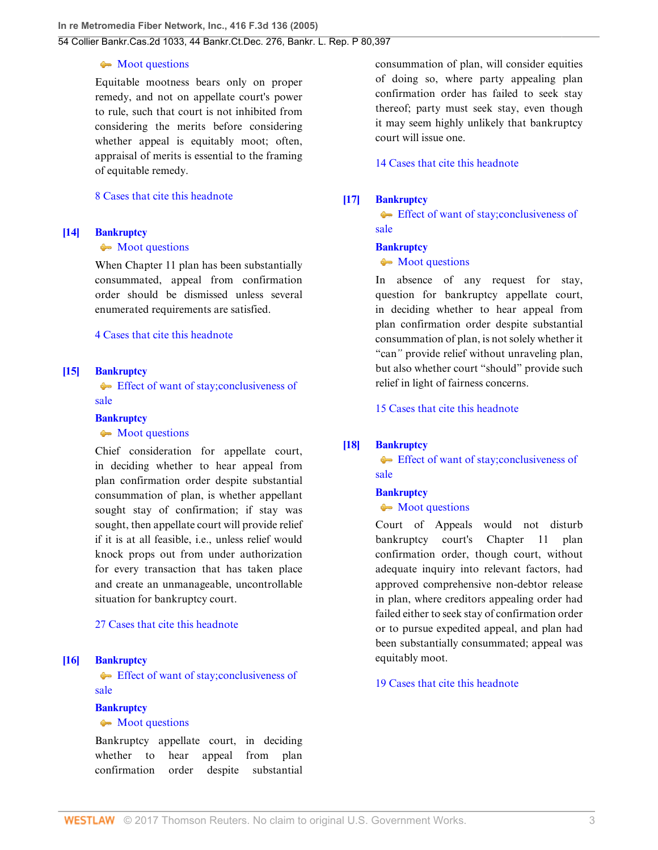#### • [Moot questions](http://www.westlaw.com/Browse/Home/KeyNumber/51k3781/View.html?docGuid=Iec8c98defa3811d9bf60c1d57ebc853e&originationContext=document&vr=3.0&rs=cblt1.0&transitionType=DocumentItem&contextData=(sc.UserEnteredCitation))

Equitable mootness bears only on proper remedy, and not on appellate court's power to rule, such that court is not inhibited from considering the merits before considering whether appeal is equitably moot; often, appraisal of merits is essential to the framing of equitable remedy.

#### [8 Cases that cite this headnote](http://www.westlaw.com/Link/RelatedInformation/DocHeadnoteLink?docGuid=Iec8c98defa3811d9bf60c1d57ebc853e&headnoteId=200697776101320130815031007&originationContext=document&vr=3.0&rs=cblt1.0&transitionType=CitingReferences&contextData=(sc.UserEnteredCitation))

### <span id="page-2-1"></span>**[\[14\]](#page-7-5) [Bankruptcy](http://www.westlaw.com/Browse/Home/KeyNumber/51/View.html?docGuid=Iec8c98defa3811d9bf60c1d57ebc853e&originationContext=document&vr=3.0&rs=cblt1.0&transitionType=DocumentItem&contextData=(sc.UserEnteredCitation))**

### • [Moot questions](http://www.westlaw.com/Browse/Home/KeyNumber/51k3781/View.html?docGuid=Iec8c98defa3811d9bf60c1d57ebc853e&originationContext=document&vr=3.0&rs=cblt1.0&transitionType=DocumentItem&contextData=(sc.UserEnteredCitation))

When Chapter 11 plan has been substantially consummated, appeal from confirmation order should be dismissed unless several enumerated requirements are satisfied.

### [4 Cases that cite this headnote](http://www.westlaw.com/Link/RelatedInformation/DocHeadnoteLink?docGuid=Iec8c98defa3811d9bf60c1d57ebc853e&headnoteId=200697776101420130815031007&originationContext=document&vr=3.0&rs=cblt1.0&transitionType=CitingReferences&contextData=(sc.UserEnteredCitation))

### <span id="page-2-2"></span>**[\[15\]](#page-7-6) [Bankruptcy](http://www.westlaw.com/Browse/Home/KeyNumber/51/View.html?docGuid=Iec8c98defa3811d9bf60c1d57ebc853e&originationContext=document&vr=3.0&rs=cblt1.0&transitionType=DocumentItem&contextData=(sc.UserEnteredCitation))**

[Effect of want of stay; conclusiveness of](http://www.westlaw.com/Browse/Home/KeyNumber/51k3776.5(5)/View.html?docGuid=Iec8c98defa3811d9bf60c1d57ebc853e&originationContext=document&vr=3.0&rs=cblt1.0&transitionType=DocumentItem&contextData=(sc.UserEnteredCitation)) [sale](http://www.westlaw.com/Browse/Home/KeyNumber/51k3776.5(5)/View.html?docGuid=Iec8c98defa3811d9bf60c1d57ebc853e&originationContext=document&vr=3.0&rs=cblt1.0&transitionType=DocumentItem&contextData=(sc.UserEnteredCitation))

### **[Bankruptcy](http://www.westlaw.com/Browse/Home/KeyNumber/51/View.html?docGuid=Iec8c98defa3811d9bf60c1d57ebc853e&originationContext=document&vr=3.0&rs=cblt1.0&transitionType=DocumentItem&contextData=(sc.UserEnteredCitation))**

#### • [Moot questions](http://www.westlaw.com/Browse/Home/KeyNumber/51k3781/View.html?docGuid=Iec8c98defa3811d9bf60c1d57ebc853e&originationContext=document&vr=3.0&rs=cblt1.0&transitionType=DocumentItem&contextData=(sc.UserEnteredCitation))

Chief consideration for appellate court, in deciding whether to hear appeal from plan confirmation order despite substantial consummation of plan, is whether appellant sought stay of confirmation; if stay was sought, then appellate court will provide relief if it is at all feasible, i.e., unless relief would knock props out from under authorization for every transaction that has taken place and create an unmanageable, uncontrollable situation for bankruptcy court.

### [27 Cases that cite this headnote](http://www.westlaw.com/Link/RelatedInformation/DocHeadnoteLink?docGuid=Iec8c98defa3811d9bf60c1d57ebc853e&headnoteId=200697776101520130815031007&originationContext=document&vr=3.0&rs=cblt1.0&transitionType=CitingReferences&contextData=(sc.UserEnteredCitation))

### <span id="page-2-3"></span>**[\[16\]](#page-7-7) [Bankruptcy](http://www.westlaw.com/Browse/Home/KeyNumber/51/View.html?docGuid=Iec8c98defa3811d9bf60c1d57ebc853e&originationContext=document&vr=3.0&rs=cblt1.0&transitionType=DocumentItem&contextData=(sc.UserEnteredCitation))**

[Effect of want of stay; conclusiveness of](http://www.westlaw.com/Browse/Home/KeyNumber/51k3776.5(5)/View.html?docGuid=Iec8c98defa3811d9bf60c1d57ebc853e&originationContext=document&vr=3.0&rs=cblt1.0&transitionType=DocumentItem&contextData=(sc.UserEnteredCitation)) [sale](http://www.westlaw.com/Browse/Home/KeyNumber/51k3776.5(5)/View.html?docGuid=Iec8c98defa3811d9bf60c1d57ebc853e&originationContext=document&vr=3.0&rs=cblt1.0&transitionType=DocumentItem&contextData=(sc.UserEnteredCitation))

## **[Bankruptcy](http://www.westlaw.com/Browse/Home/KeyNumber/51/View.html?docGuid=Iec8c98defa3811d9bf60c1d57ebc853e&originationContext=document&vr=3.0&rs=cblt1.0&transitionType=DocumentItem&contextData=(sc.UserEnteredCitation))**

#### • [Moot questions](http://www.westlaw.com/Browse/Home/KeyNumber/51k3781/View.html?docGuid=Iec8c98defa3811d9bf60c1d57ebc853e&originationContext=document&vr=3.0&rs=cblt1.0&transitionType=DocumentItem&contextData=(sc.UserEnteredCitation))

Bankruptcy appellate court, in deciding whether to hear appeal from plan confirmation order despite substantial

consummation of plan, will consider equities of doing so, where party appealing plan confirmation order has failed to seek stay thereof; party must seek stay, even though it may seem highly unlikely that bankruptcy court will issue one.

[14 Cases that cite this headnote](http://www.westlaw.com/Link/RelatedInformation/DocHeadnoteLink?docGuid=Iec8c98defa3811d9bf60c1d57ebc853e&headnoteId=200697776101620130815031007&originationContext=document&vr=3.0&rs=cblt1.0&transitionType=CitingReferences&contextData=(sc.UserEnteredCitation))

### <span id="page-2-4"></span>**[\[17\]](#page-8-0) [Bankruptcy](http://www.westlaw.com/Browse/Home/KeyNumber/51/View.html?docGuid=Iec8c98defa3811d9bf60c1d57ebc853e&originationContext=document&vr=3.0&rs=cblt1.0&transitionType=DocumentItem&contextData=(sc.UserEnteredCitation))**

[Effect of want of stay; conclusiveness of](http://www.westlaw.com/Browse/Home/KeyNumber/51k3776.5(5)/View.html?docGuid=Iec8c98defa3811d9bf60c1d57ebc853e&originationContext=document&vr=3.0&rs=cblt1.0&transitionType=DocumentItem&contextData=(sc.UserEnteredCitation)) [sale](http://www.westlaw.com/Browse/Home/KeyNumber/51k3776.5(5)/View.html?docGuid=Iec8c98defa3811d9bf60c1d57ebc853e&originationContext=document&vr=3.0&rs=cblt1.0&transitionType=DocumentItem&contextData=(sc.UserEnteredCitation))

### **[Bankruptcy](http://www.westlaw.com/Browse/Home/KeyNumber/51/View.html?docGuid=Iec8c98defa3811d9bf60c1d57ebc853e&originationContext=document&vr=3.0&rs=cblt1.0&transitionType=DocumentItem&contextData=(sc.UserEnteredCitation))**

### • [Moot questions](http://www.westlaw.com/Browse/Home/KeyNumber/51k3781/View.html?docGuid=Iec8c98defa3811d9bf60c1d57ebc853e&originationContext=document&vr=3.0&rs=cblt1.0&transitionType=DocumentItem&contextData=(sc.UserEnteredCitation))

In absence of any request for stay, question for bankruptcy appellate court, in deciding whether to hear appeal from plan confirmation order despite substantial consummation of plan, is not solely whether it "can*"* provide relief without unraveling plan, but also whether court "should" provide such relief in light of fairness concerns.

[15 Cases that cite this headnote](http://www.westlaw.com/Link/RelatedInformation/DocHeadnoteLink?docGuid=Iec8c98defa3811d9bf60c1d57ebc853e&headnoteId=200697776101720130815031007&originationContext=document&vr=3.0&rs=cblt1.0&transitionType=CitingReferences&contextData=(sc.UserEnteredCitation))

### <span id="page-2-0"></span>**[\[18\]](#page-8-1) [Bankruptcy](http://www.westlaw.com/Browse/Home/KeyNumber/51/View.html?docGuid=Iec8c98defa3811d9bf60c1d57ebc853e&originationContext=document&vr=3.0&rs=cblt1.0&transitionType=DocumentItem&contextData=(sc.UserEnteredCitation))**

[Effect of want of stay; conclusiveness of](http://www.westlaw.com/Browse/Home/KeyNumber/51k3776.5(5)/View.html?docGuid=Iec8c98defa3811d9bf60c1d57ebc853e&originationContext=document&vr=3.0&rs=cblt1.0&transitionType=DocumentItem&contextData=(sc.UserEnteredCitation)) [sale](http://www.westlaw.com/Browse/Home/KeyNumber/51k3776.5(5)/View.html?docGuid=Iec8c98defa3811d9bf60c1d57ebc853e&originationContext=document&vr=3.0&rs=cblt1.0&transitionType=DocumentItem&contextData=(sc.UserEnteredCitation))

### **[Bankruptcy](http://www.westlaw.com/Browse/Home/KeyNumber/51/View.html?docGuid=Iec8c98defa3811d9bf60c1d57ebc853e&originationContext=document&vr=3.0&rs=cblt1.0&transitionType=DocumentItem&contextData=(sc.UserEnteredCitation))**

#### • [Moot questions](http://www.westlaw.com/Browse/Home/KeyNumber/51k3781/View.html?docGuid=Iec8c98defa3811d9bf60c1d57ebc853e&originationContext=document&vr=3.0&rs=cblt1.0&transitionType=DocumentItem&contextData=(sc.UserEnteredCitation))

Court of Appeals would not disturb bankruptcy court's Chapter 11 plan confirmation order, though court, without adequate inquiry into relevant factors, had approved comprehensive non-debtor release in plan, where creditors appealing order had failed either to seek stay of confirmation order or to pursue expedited appeal, and plan had been substantially consummated; appeal was equitably moot.

[19 Cases that cite this headnote](http://www.westlaw.com/Link/RelatedInformation/DocHeadnoteLink?docGuid=Iec8c98defa3811d9bf60c1d57ebc853e&headnoteId=200697776101820130815031007&originationContext=document&vr=3.0&rs=cblt1.0&transitionType=CitingReferences&contextData=(sc.UserEnteredCitation))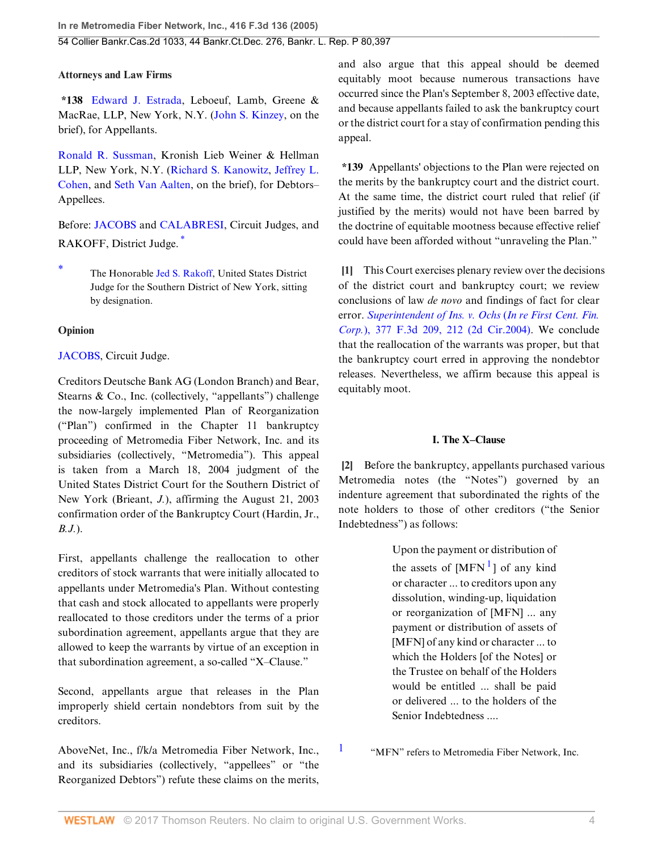### **Attorneys and Law Firms**

**\*138** [Edward J. Estrada](http://www.westlaw.com/Link/Document/FullText?findType=h&pubNum=176284&cite=0328836401&originatingDoc=Iec8c98defa3811d9bf60c1d57ebc853e&refType=RQ&originationContext=document&vr=3.0&rs=cblt1.0&transitionType=DocumentItem&contextData=(sc.UserEnteredCitation)), Leboeuf, Lamb, Greene & MacRae, LLP, New York, N.Y. [\(John S. Kinzey](http://www.westlaw.com/Link/Document/FullText?findType=h&pubNum=176284&cite=0328842801&originatingDoc=Iec8c98defa3811d9bf60c1d57ebc853e&refType=RQ&originationContext=document&vr=3.0&rs=cblt1.0&transitionType=DocumentItem&contextData=(sc.UserEnteredCitation)), on the brief), for Appellants.

[Ronald R. Sussman,](http://www.westlaw.com/Link/Document/FullText?findType=h&pubNum=176284&cite=0327261301&originatingDoc=Iec8c98defa3811d9bf60c1d57ebc853e&refType=RQ&originationContext=document&vr=3.0&rs=cblt1.0&transitionType=DocumentItem&contextData=(sc.UserEnteredCitation)) Kronish Lieb Weiner & Hellman LLP, New York, N.Y. ([Richard S. Kanowitz,](http://www.westlaw.com/Link/Document/FullText?findType=h&pubNum=176284&cite=0327258401&originatingDoc=Iec8c98defa3811d9bf60c1d57ebc853e&refType=RQ&originationContext=document&vr=3.0&rs=cblt1.0&transitionType=DocumentItem&contextData=(sc.UserEnteredCitation)) [Jeffrey L.](http://www.westlaw.com/Link/Document/FullText?findType=h&pubNum=176284&cite=0318047601&originatingDoc=Iec8c98defa3811d9bf60c1d57ebc853e&refType=RQ&originationContext=document&vr=3.0&rs=cblt1.0&transitionType=DocumentItem&contextData=(sc.UserEnteredCitation)) [Cohen](http://www.westlaw.com/Link/Document/FullText?findType=h&pubNum=176284&cite=0318047601&originatingDoc=Iec8c98defa3811d9bf60c1d57ebc853e&refType=RQ&originationContext=document&vr=3.0&rs=cblt1.0&transitionType=DocumentItem&contextData=(sc.UserEnteredCitation)), and [Seth Van Aalten](http://www.westlaw.com/Link/Document/FullText?findType=h&pubNum=176284&cite=0334169201&originatingDoc=Iec8c98defa3811d9bf60c1d57ebc853e&refType=RQ&originationContext=document&vr=3.0&rs=cblt1.0&transitionType=DocumentItem&contextData=(sc.UserEnteredCitation)), on the brief), for Debtors– Appellees.

<span id="page-3-3"></span>Before: [JACOBS](http://www.westlaw.com/Link/Document/FullText?findType=h&pubNum=176284&cite=0179982801&originatingDoc=Iec8c98defa3811d9bf60c1d57ebc853e&refType=RQ&originationContext=document&vr=3.0&rs=cblt1.0&transitionType=DocumentItem&contextData=(sc.UserEnteredCitation)) and [CALABRESI](http://www.westlaw.com/Link/Document/FullText?findType=h&pubNum=176284&cite=0205251101&originatingDoc=Iec8c98defa3811d9bf60c1d57ebc853e&refType=RQ&originationContext=document&vr=3.0&rs=cblt1.0&transitionType=DocumentItem&contextData=(sc.UserEnteredCitation)), Circuit Judges, and RAKOFF, District Judge. [\\*](#page-3-2)

### **Opinion**

### [JACOBS](http://www.westlaw.com/Link/Document/FullText?findType=h&pubNum=176284&cite=0179982801&originatingDoc=Iec8c98defa3811d9bf60c1d57ebc853e&refType=RQ&originationContext=document&vr=3.0&rs=cblt1.0&transitionType=DocumentItem&contextData=(sc.UserEnteredCitation)), Circuit Judge.

Creditors Deutsche Bank AG (London Branch) and Bear, Stearns & Co., Inc. (collectively, "appellants") challenge the now-largely implemented Plan of Reorganization ("Plan") confirmed in the Chapter 11 bankruptcy proceeding of Metromedia Fiber Network, Inc. and its subsidiaries (collectively, "Metromedia"). This appeal is taken from a March 18, 2004 judgment of the United States District Court for the Southern District of New York (Brieant, *J.*), affirming the August 21, 2003 confirmation order of the Bankruptcy Court (Hardin, Jr., *B.J.*).

First, appellants challenge the reallocation to other creditors of stock warrants that were initially allocated to appellants under Metromedia's Plan. Without contesting that cash and stock allocated to appellants were properly reallocated to those creditors under the terms of a prior subordination agreement, appellants argue that they are allowed to keep the warrants by virtue of an exception in that subordination agreement, a so-called "X–Clause."

Second, appellants argue that releases in the Plan improperly shield certain nondebtors from suit by the creditors.

AboveNet, Inc., f/k/a Metromedia Fiber Network, Inc., and its subsidiaries (collectively, "appellees" or "the Reorganized Debtors") refute these claims on the merits, and also argue that this appeal should be deemed equitably moot because numerous transactions have occurred since the Plan's September 8, 2003 effective date, and because appellants failed to ask the bankruptcy court or the district court for a stay of confirmation pending this appeal.

**\*139** Appellants' objections to the Plan were rejected on the merits by the bankruptcy court and the district court. At the same time, the district court ruled that relief (if justified by the merits) would not have been barred by the doctrine of equitable mootness because effective relief could have been afforded without "unraveling the Plan."

<span id="page-3-0"></span>**[\[1](#page-0-1)]** This Court exercises plenary review over the decisions of the district court and bankruptcy court; we review conclusions of law *de novo* and findings of fact for clear error. *[Superintendent of Ins. v. Ochs](http://www.westlaw.com/Link/Document/FullText?findType=Y&serNum=2004750620&pubNum=506&originatingDoc=Iec8c98defa3811d9bf60c1d57ebc853e&refType=RP&fi=co_pp_sp_506_212&originationContext=document&vr=3.0&rs=cblt1.0&transitionType=DocumentItem&contextData=(sc.UserEnteredCitation)#co_pp_sp_506_212)* (*In re First Cent. Fin. Corp.*[\), 377 F.3d 209, 212 \(2d Cir.2004\).](http://www.westlaw.com/Link/Document/FullText?findType=Y&serNum=2004750620&pubNum=506&originatingDoc=Iec8c98defa3811d9bf60c1d57ebc853e&refType=RP&fi=co_pp_sp_506_212&originationContext=document&vr=3.0&rs=cblt1.0&transitionType=DocumentItem&contextData=(sc.UserEnteredCitation)#co_pp_sp_506_212) We conclude that the reallocation of the warrants was proper, but that the bankruptcy court erred in approving the nondebtor releases. Nevertheless, we affirm because this appeal is equitably moot.

### **I. The X–Clause**

<span id="page-3-1"></span>**[\[2](#page-0-0)]** Before the bankruptcy, appellants purchased various Metromedia notes (the "Notes") governed by an indenture agreement that subordinated the rights of the note holders to those of other creditors ("the Senior Indebtedness") as follows:

> <span id="page-3-5"></span>Upon the payment or distribution of the assets of  $[MFN<sup>1</sup>]$  $[MFN<sup>1</sup>]$  $[MFN<sup>1</sup>]$  of any kind or character ... to creditors upon any dissolution, winding-up, liquidation or reorganization of [MFN] ... any payment or distribution of assets of [MFN] of any kind or character ... to which the Holders [of the Notes] or the Trustee on behalf of the Holders would be entitled ... shall be paid or delivered ... to the holders of the Senior Indebtedness ....

"MFN" refers to Metromedia Fiber Network, Inc.

<span id="page-3-4"></span>[1](#page-3-5)

<span id="page-3-2"></span>The Honorable [Jed S. Rakoff,](http://www.westlaw.com/Link/Document/FullText?findType=h&pubNum=176284&cite=0106684001&originatingDoc=Iec8c98defa3811d9bf60c1d57ebc853e&refType=RQ&originationContext=document&vr=3.0&rs=cblt1.0&transitionType=DocumentItem&contextData=(sc.UserEnteredCitation)) United States District Judge for the Southern District of New York, sitting by designation.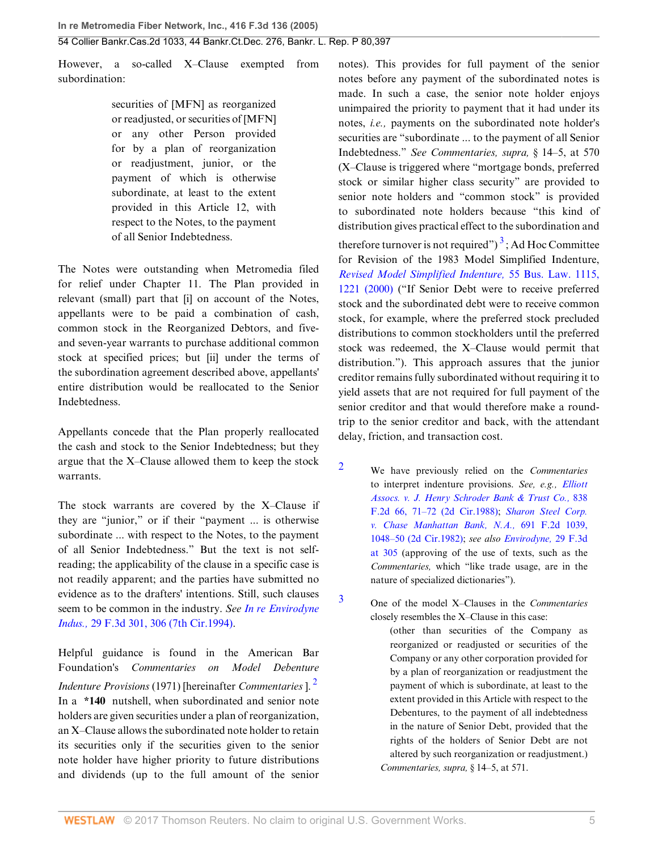However, a so-called X–Clause exempted from subordination:

> securities of [MFN] as reorganized or readjusted, or securities of [MFN] or any other Person provided for by a plan of reorganization or readjustment, junior, or the payment of which is otherwise subordinate, at least to the extent provided in this Article 12, with respect to the Notes, to the payment of all Senior Indebtedness.

The Notes were outstanding when Metromedia filed for relief under Chapter 11. The Plan provided in relevant (small) part that [i] on account of the Notes, appellants were to be paid a combination of cash, common stock in the Reorganized Debtors, and fiveand seven-year warrants to purchase additional common stock at specified prices; but [ii] under the terms of the subordination agreement described above, appellants' entire distribution would be reallocated to the Senior Indebtedness.

Appellants concede that the Plan properly reallocated the cash and stock to the Senior Indebtedness; but they argue that the X–Clause allowed them to keep the stock warrants.

The stock warrants are covered by the X–Clause if they are "junior," or if their "payment ... is otherwise subordinate ... with respect to the Notes, to the payment of all Senior Indebtedness." But the text is not selfreading; the applicability of the clause in a specific case is not readily apparent; and the parties have submitted no evidence as to the drafters' intentions. Still, such clauses seem to be common in the industry. *See [In re Envirodyne](http://www.westlaw.com/Link/Document/FullText?findType=Y&serNum=1994149007&pubNum=506&originatingDoc=Iec8c98defa3811d9bf60c1d57ebc853e&refType=RP&fi=co_pp_sp_506_306&originationContext=document&vr=3.0&rs=cblt1.0&transitionType=DocumentItem&contextData=(sc.UserEnteredCitation)#co_pp_sp_506_306) Indus.,* [29 F.3d 301, 306 \(7th Cir.1994\).](http://www.westlaw.com/Link/Document/FullText?findType=Y&serNum=1994149007&pubNum=506&originatingDoc=Iec8c98defa3811d9bf60c1d57ebc853e&refType=RP&fi=co_pp_sp_506_306&originationContext=document&vr=3.0&rs=cblt1.0&transitionType=DocumentItem&contextData=(sc.UserEnteredCitation)#co_pp_sp_506_306)

Helpful guidance is found in the American Bar Foundation's *Commentaries on Model Debenture Indenture Provisions* (1971) [hereinafter *Commentaries* ]. [2](#page-4-0) In a **\*140** nutshell, when subordinated and senior note holders are given securities under a plan of reorganization, an X–Clause allows the subordinated note holder to retain its securities only if the securities given to the senior note holder have higher priority to future distributions and dividends (up to the full amount of the senior <span id="page-4-3"></span>notes). This provides for full payment of the senior notes before any payment of the subordinated notes is made. In such a case, the senior note holder enjoys unimpaired the priority to payment that it had under its notes, *i.e.,* payments on the subordinated note holder's securities are "subordinate ... to the payment of all Senior Indebtedness." *See Commentaries, supra,* § 14–5, at 570 (X–Clause is triggered where "mortgage bonds, preferred stock or similar higher class security" are provided to senior note holders and "common stock" is provided to subordinated note holders because "this kind of distribution gives practical effect to the subordination and therefore turnover is not required")<sup>[3](#page-4-1)</sup>; Ad Hoc Committee for Revision of the 1983 Model Simplified Indenture, *[Revised Model Simplified Indenture,](http://www.westlaw.com/Link/Document/FullText?findType=Y&serNum=0119606855&pubNum=1105&originatingDoc=Iec8c98defa3811d9bf60c1d57ebc853e&refType=LR&originationContext=document&vr=3.0&rs=cblt1.0&transitionType=DocumentItem&contextData=(sc.UserEnteredCitation))* 55 Bus. Law. 1115, [1221 \(2000\)](http://www.westlaw.com/Link/Document/FullText?findType=Y&serNum=0119606855&pubNum=1105&originatingDoc=Iec8c98defa3811d9bf60c1d57ebc853e&refType=LR&originationContext=document&vr=3.0&rs=cblt1.0&transitionType=DocumentItem&contextData=(sc.UserEnteredCitation)) ("If Senior Debt were to receive preferred stock and the subordinated debt were to receive common stock, for example, where the preferred stock precluded distributions to common stockholders until the preferred stock was redeemed, the X–Clause would permit that distribution."). This approach assures that the junior creditor remains fully subordinated without requiring it to yield assets that are not required for full payment of the senior creditor and that would therefore make a roundtrip to the senior creditor and back, with the attendant delay, friction, and transaction cost.

- <span id="page-4-0"></span>[2](#page-4-2) We have previously relied on the *Commentaries* to interpret indenture provisions. *See, e.g., [Elliott](http://www.westlaw.com/Link/Document/FullText?findType=Y&serNum=1988017875&pubNum=350&originatingDoc=Iec8c98defa3811d9bf60c1d57ebc853e&refType=RP&fi=co_pp_sp_350_71&originationContext=document&vr=3.0&rs=cblt1.0&transitionType=DocumentItem&contextData=(sc.UserEnteredCitation)#co_pp_sp_350_71) [Assocs. v. J. Henry Schroder Bank & Trust Co.,](http://www.westlaw.com/Link/Document/FullText?findType=Y&serNum=1988017875&pubNum=350&originatingDoc=Iec8c98defa3811d9bf60c1d57ebc853e&refType=RP&fi=co_pp_sp_350_71&originationContext=document&vr=3.0&rs=cblt1.0&transitionType=DocumentItem&contextData=(sc.UserEnteredCitation)#co_pp_sp_350_71)* 838 [F.2d 66, 71–72 \(2d Cir.1988\);](http://www.westlaw.com/Link/Document/FullText?findType=Y&serNum=1988017875&pubNum=350&originatingDoc=Iec8c98defa3811d9bf60c1d57ebc853e&refType=RP&fi=co_pp_sp_350_71&originationContext=document&vr=3.0&rs=cblt1.0&transitionType=DocumentItem&contextData=(sc.UserEnteredCitation)#co_pp_sp_350_71) *[Sharon Steel Corp.](http://www.westlaw.com/Link/Document/FullText?findType=Y&serNum=1982143989&pubNum=350&originatingDoc=Iec8c98defa3811d9bf60c1d57ebc853e&refType=RP&fi=co_pp_sp_350_1048&originationContext=document&vr=3.0&rs=cblt1.0&transitionType=DocumentItem&contextData=(sc.UserEnteredCitation)#co_pp_sp_350_1048) [v. Chase Manhattan Bank, N.A.,](http://www.westlaw.com/Link/Document/FullText?findType=Y&serNum=1982143989&pubNum=350&originatingDoc=Iec8c98defa3811d9bf60c1d57ebc853e&refType=RP&fi=co_pp_sp_350_1048&originationContext=document&vr=3.0&rs=cblt1.0&transitionType=DocumentItem&contextData=(sc.UserEnteredCitation)#co_pp_sp_350_1048)* 691 F.2d 1039, [1048–50 \(2d Cir.1982\)](http://www.westlaw.com/Link/Document/FullText?findType=Y&serNum=1982143989&pubNum=350&originatingDoc=Iec8c98defa3811d9bf60c1d57ebc853e&refType=RP&fi=co_pp_sp_350_1048&originationContext=document&vr=3.0&rs=cblt1.0&transitionType=DocumentItem&contextData=(sc.UserEnteredCitation)#co_pp_sp_350_1048); *see also [Envirodyne,](http://www.westlaw.com/Link/Document/FullText?findType=Y&serNum=1994149007&pubNum=506&originatingDoc=Iec8c98defa3811d9bf60c1d57ebc853e&refType=RP&fi=co_pp_sp_506_305&originationContext=document&vr=3.0&rs=cblt1.0&transitionType=DocumentItem&contextData=(sc.UserEnteredCitation)#co_pp_sp_506_305)* 29 F.3d [at 305](http://www.westlaw.com/Link/Document/FullText?findType=Y&serNum=1994149007&pubNum=506&originatingDoc=Iec8c98defa3811d9bf60c1d57ebc853e&refType=RP&fi=co_pp_sp_506_305&originationContext=document&vr=3.0&rs=cblt1.0&transitionType=DocumentItem&contextData=(sc.UserEnteredCitation)#co_pp_sp_506_305) (approving of the use of texts, such as the *Commentaries,* which "like trade usage, are in the nature of specialized dictionaries").
- <span id="page-4-2"></span><span id="page-4-1"></span>[3](#page-4-3) One of the model X–Clauses in the *Commentaries* closely resembles the X–Clause in this case:
	- (other than securities of the Company as reorganized or readjusted or securities of the Company or any other corporation provided for by a plan of reorganization or readjustment the payment of which is subordinate, at least to the extent provided in this Article with respect to the Debentures, to the payment of all indebtedness in the nature of Senior Debt, provided that the rights of the holders of Senior Debt are not altered by such reorganization or readjustment.) *Commentaries, supra,* § 14–5, at 571.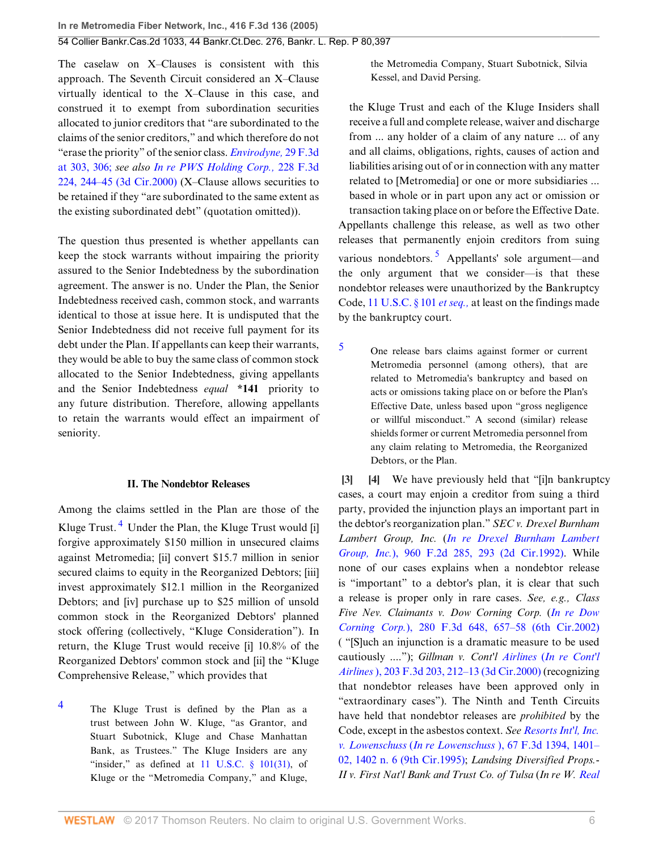The caselaw on X–Clauses is consistent with this approach. The Seventh Circuit considered an X–Clause virtually identical to the X–Clause in this case, and construed it to exempt from subordination securities allocated to junior creditors that "are subordinated to the claims of the senior creditors," and which therefore do not "erase the priority" of the senior class. *[Envirodyne,](http://www.westlaw.com/Link/Document/FullText?findType=Y&serNum=1994149007&pubNum=506&originatingDoc=Iec8c98defa3811d9bf60c1d57ebc853e&refType=RP&fi=co_pp_sp_506_303&originationContext=document&vr=3.0&rs=cblt1.0&transitionType=DocumentItem&contextData=(sc.UserEnteredCitation)#co_pp_sp_506_303)* 29 F.3d [at 303, 306;](http://www.westlaw.com/Link/Document/FullText?findType=Y&serNum=1994149007&pubNum=506&originatingDoc=Iec8c98defa3811d9bf60c1d57ebc853e&refType=RP&fi=co_pp_sp_506_303&originationContext=document&vr=3.0&rs=cblt1.0&transitionType=DocumentItem&contextData=(sc.UserEnteredCitation)#co_pp_sp_506_303) *see also [In re PWS Holding Corp.,](http://www.westlaw.com/Link/Document/FullText?findType=Y&serNum=2000524408&pubNum=506&originatingDoc=Iec8c98defa3811d9bf60c1d57ebc853e&refType=RP&fi=co_pp_sp_506_244&originationContext=document&vr=3.0&rs=cblt1.0&transitionType=DocumentItem&contextData=(sc.UserEnteredCitation)#co_pp_sp_506_244)* 228 F.3d [224, 244–45 \(3d Cir.2000\)](http://www.westlaw.com/Link/Document/FullText?findType=Y&serNum=2000524408&pubNum=506&originatingDoc=Iec8c98defa3811d9bf60c1d57ebc853e&refType=RP&fi=co_pp_sp_506_244&originationContext=document&vr=3.0&rs=cblt1.0&transitionType=DocumentItem&contextData=(sc.UserEnteredCitation)#co_pp_sp_506_244) (X–Clause allows securities to be retained if they "are subordinated to the same extent as the existing subordinated debt" (quotation omitted)).

The question thus presented is whether appellants can keep the stock warrants without impairing the priority assured to the Senior Indebtedness by the subordination agreement. The answer is no. Under the Plan, the Senior Indebtedness received cash, common stock, and warrants identical to those at issue here. It is undisputed that the Senior Indebtedness did not receive full payment for its debt under the Plan. If appellants can keep their warrants, they would be able to buy the same class of common stock allocated to the Senior Indebtedness, giving appellants and the Senior Indebtedness *equal* **\*141** priority to any future distribution. Therefore, allowing appellants to retain the warrants would effect an impairment of seniority.

### <span id="page-5-3"></span>**II. The Nondebtor Releases**

Among the claims settled in the Plan are those of the Kluge Trust.<sup>[4](#page-5-2)</sup> Under the Plan, the Kluge Trust would [i] forgive approximately \$150 million in unsecured claims against Metromedia; [ii] convert \$15.7 million in senior secured claims to equity in the Reorganized Debtors; [iii] invest approximately \$12.1 million in the Reorganized Debtors; and [iv] purchase up to \$25 million of unsold common stock in the Reorganized Debtors' planned stock offering (collectively, "Kluge Consideration"). In return, the Kluge Trust would receive [i] 10.8% of the Reorganized Debtors' common stock and [ii] the "Kluge Comprehensive Release," which provides that

<span id="page-5-2"></span>[4](#page-5-3) The Kluge Trust is defined by the Plan as a trust between John W. Kluge, "as Grantor, and Stuart Subotnick, Kluge and Chase Manhattan Bank, as Trustees." The Kluge Insiders are any "insider," as defined at  $11$  U.S.C.  $\frac{8}{101(31)}$ , of Kluge or the "Metromedia Company," and Kluge,

the Metromedia Company, Stuart Subotnick, Silvia Kessel, and David Persing.

the Kluge Trust and each of the Kluge Insiders shall receive a full and complete release, waiver and discharge from ... any holder of a claim of any nature ... of any and all claims, obligations, rights, causes of action and liabilities arising out of or in connection with any matter related to [Metromedia] or one or more subsidiaries ... based in whole or in part upon any act or omission or transaction taking place on or before the Effective Date. Appellants challenge this release, as well as two other releases that permanently enjoin creditors from suing various nondebtors.<sup>[5](#page-5-4)</sup> Appellants' sole argument—and the only argument that we consider—is that these nondebtor releases were unauthorized by the Bankruptcy Code, [11 U.S.C. § 101](http://www.westlaw.com/Link/Document/FullText?findType=L&pubNum=1000546&cite=11USCAS101&originatingDoc=Iec8c98defa3811d9bf60c1d57ebc853e&refType=LQ&originationContext=document&vr=3.0&rs=cblt1.0&transitionType=DocumentItem&contextData=(sc.UserEnteredCitation)) *et seq.,* at least on the findings made by the bankruptcy court.

<span id="page-5-5"></span><span id="page-5-4"></span>[5](#page-5-5) One release bars claims against former or current Metromedia personnel (among others), that are related to Metromedia's bankruptcy and based on acts or omissions taking place on or before the Plan's Effective Date, unless based upon "gross negligence or willful misconduct." A second (similar) release shields former or current Metromedia personnel from any claim relating to Metromedia, the Reorganized Debtors, or the Plan.

<span id="page-5-1"></span><span id="page-5-0"></span>**[\[3](#page-0-2)] [\[4](#page-1-1)]** We have previously held that "[i]n bankruptcy cases, a court may enjoin a creditor from suing a third party, provided the injunction plays an important part in the debtor's reorganization plan." *SEC v. Drexel Burnham Lambert Group, Inc.* (*[In re Drexel Burnham Lambert](http://www.westlaw.com/Link/Document/FullText?findType=Y&serNum=1992066084&pubNum=350&originatingDoc=Iec8c98defa3811d9bf60c1d57ebc853e&refType=RP&fi=co_pp_sp_350_293&originationContext=document&vr=3.0&rs=cblt1.0&transitionType=DocumentItem&contextData=(sc.UserEnteredCitation)#co_pp_sp_350_293) Group, Inc.*[\), 960 F.2d 285, 293 \(2d Cir.1992\).](http://www.westlaw.com/Link/Document/FullText?findType=Y&serNum=1992066084&pubNum=350&originatingDoc=Iec8c98defa3811d9bf60c1d57ebc853e&refType=RP&fi=co_pp_sp_350_293&originationContext=document&vr=3.0&rs=cblt1.0&transitionType=DocumentItem&contextData=(sc.UserEnteredCitation)#co_pp_sp_350_293) While none of our cases explains when a nondebtor release is "important" to a debtor's plan, it is clear that such a release is proper only in rare cases. *See, e.g., Class Five Nev. Claimants v. Dow Corning Corp.* (*[In re Dow](http://www.westlaw.com/Link/Document/FullText?findType=Y&serNum=2002096126&pubNum=506&originatingDoc=Iec8c98defa3811d9bf60c1d57ebc853e&refType=RP&fi=co_pp_sp_506_657&originationContext=document&vr=3.0&rs=cblt1.0&transitionType=DocumentItem&contextData=(sc.UserEnteredCitation)#co_pp_sp_506_657) Corning Corp.*[\), 280 F.3d 648, 657–58 \(6th Cir.2002\)](http://www.westlaw.com/Link/Document/FullText?findType=Y&serNum=2002096126&pubNum=506&originatingDoc=Iec8c98defa3811d9bf60c1d57ebc853e&refType=RP&fi=co_pp_sp_506_657&originationContext=document&vr=3.0&rs=cblt1.0&transitionType=DocumentItem&contextData=(sc.UserEnteredCitation)#co_pp_sp_506_657) ( "[S]uch an injunction is a dramatic measure to be used cautiously ...."); *Gillman v. Cont'l Airlines* (*[In re Cont'l](http://www.westlaw.com/Link/Document/FullText?findType=Y&serNum=2000044294&pubNum=506&originatingDoc=Iec8c98defa3811d9bf60c1d57ebc853e&refType=RP&fi=co_pp_sp_506_212&originationContext=document&vr=3.0&rs=cblt1.0&transitionType=DocumentItem&contextData=(sc.UserEnteredCitation)#co_pp_sp_506_212) Airlines* [\), 203 F.3d 203, 212–13 \(3d Cir.2000\)](http://www.westlaw.com/Link/Document/FullText?findType=Y&serNum=2000044294&pubNum=506&originatingDoc=Iec8c98defa3811d9bf60c1d57ebc853e&refType=RP&fi=co_pp_sp_506_212&originationContext=document&vr=3.0&rs=cblt1.0&transitionType=DocumentItem&contextData=(sc.UserEnteredCitation)#co_pp_sp_506_212) (recognizing that nondebtor releases have been approved only in "extraordinary cases"). The Ninth and Tenth Circuits have held that nondebtor releases are *prohibited* by the Code, except in the asbestos context. *See [Resorts Int'l, Inc.](http://www.westlaw.com/Link/Document/FullText?findType=Y&serNum=1995202168&pubNum=506&originatingDoc=Iec8c98defa3811d9bf60c1d57ebc853e&refType=RP&fi=co_pp_sp_506_1401&originationContext=document&vr=3.0&rs=cblt1.0&transitionType=DocumentItem&contextData=(sc.UserEnteredCitation)#co_pp_sp_506_1401) v. Lowenschuss* (*In re Lowenschuss* [\), 67 F.3d 1394, 1401–](http://www.westlaw.com/Link/Document/FullText?findType=Y&serNum=1995202168&pubNum=506&originatingDoc=Iec8c98defa3811d9bf60c1d57ebc853e&refType=RP&fi=co_pp_sp_506_1401&originationContext=document&vr=3.0&rs=cblt1.0&transitionType=DocumentItem&contextData=(sc.UserEnteredCitation)#co_pp_sp_506_1401) [02, 1402 n. 6 \(9th Cir.1995\);](http://www.westlaw.com/Link/Document/FullText?findType=Y&serNum=1995202168&pubNum=506&originatingDoc=Iec8c98defa3811d9bf60c1d57ebc853e&refType=RP&fi=co_pp_sp_506_1401&originationContext=document&vr=3.0&rs=cblt1.0&transitionType=DocumentItem&contextData=(sc.UserEnteredCitation)#co_pp_sp_506_1401) *Landsing Diversified Props.- II v. First Nat'l Bank and Trust Co. of Tulsa* (*In re W. [Real](http://www.westlaw.com/Link/Document/FullText?findType=Y&serNum=1990182334&pubNum=350&originatingDoc=Iec8c98defa3811d9bf60c1d57ebc853e&refType=RP&fi=co_pp_sp_350_600&originationContext=document&vr=3.0&rs=cblt1.0&transitionType=DocumentItem&contextData=(sc.UserEnteredCitation)#co_pp_sp_350_600)*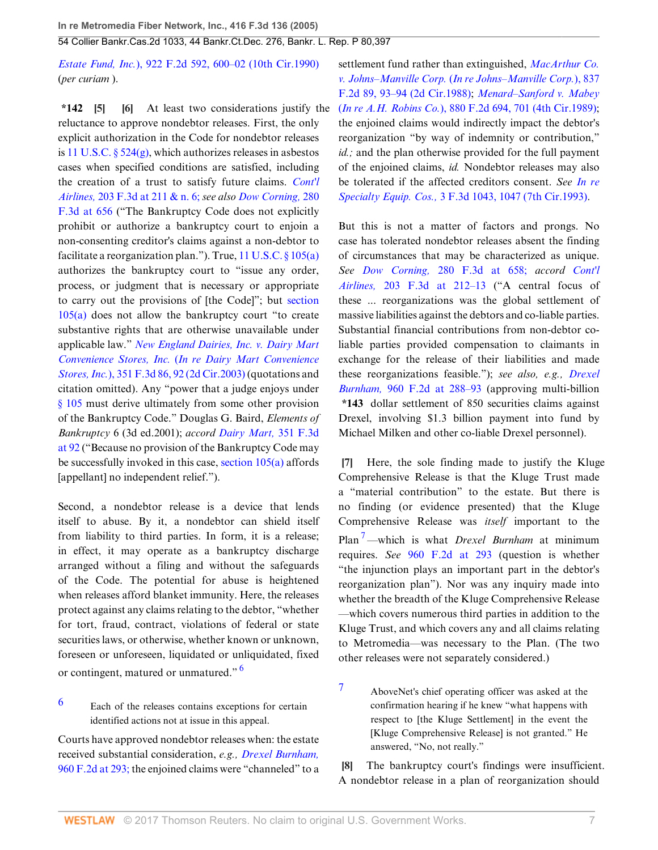*Estate Fund, Inc.*[\), 922 F.2d 592, 600–02 \(10th Cir.1990\)](http://www.westlaw.com/Link/Document/FullText?findType=Y&serNum=1990182334&pubNum=350&originatingDoc=Iec8c98defa3811d9bf60c1d57ebc853e&refType=RP&fi=co_pp_sp_350_600&originationContext=document&vr=3.0&rs=cblt1.0&transitionType=DocumentItem&contextData=(sc.UserEnteredCitation)#co_pp_sp_350_600) (*per curiam* ).

<span id="page-6-1"></span><span id="page-6-0"></span>**\*142 [\[5](#page-1-2)] [\[6](#page-1-3)]** At least two considerations justify the (*In re A.H. Robins Co.*[\), 880 F.2d 694, 701 \(4th Cir.1989\)](http://www.westlaw.com/Link/Document/FullText?findType=Y&serNum=1989094803&pubNum=350&originatingDoc=Iec8c98defa3811d9bf60c1d57ebc853e&refType=RP&fi=co_pp_sp_350_701&originationContext=document&vr=3.0&rs=cblt1.0&transitionType=DocumentItem&contextData=(sc.UserEnteredCitation)#co_pp_sp_350_701); reluctance to approve nondebtor releases. First, the only explicit authorization in the Code for nondebtor releases is 11 U.S.C.  $\S 524(g)$ , which authorizes releases in asbestos cases when specified conditions are satisfied, including the creation of a trust to satisfy future claims. *[Cont'l](http://www.westlaw.com/Link/Document/FullText?findType=Y&serNum=2000044294&pubNum=506&originatingDoc=Iec8c98defa3811d9bf60c1d57ebc853e&refType=RP&fi=co_pp_sp_506_211&originationContext=document&vr=3.0&rs=cblt1.0&transitionType=DocumentItem&contextData=(sc.UserEnteredCitation)#co_pp_sp_506_211) Airlines,* [203 F.3d at 211 & n. 6;](http://www.westlaw.com/Link/Document/FullText?findType=Y&serNum=2000044294&pubNum=506&originatingDoc=Iec8c98defa3811d9bf60c1d57ebc853e&refType=RP&fi=co_pp_sp_506_211&originationContext=document&vr=3.0&rs=cblt1.0&transitionType=DocumentItem&contextData=(sc.UserEnteredCitation)#co_pp_sp_506_211) *see also [Dow Corning,](http://www.westlaw.com/Link/Document/FullText?findType=Y&serNum=2002096126&pubNum=506&originatingDoc=Iec8c98defa3811d9bf60c1d57ebc853e&refType=RP&fi=co_pp_sp_506_656&originationContext=document&vr=3.0&rs=cblt1.0&transitionType=DocumentItem&contextData=(sc.UserEnteredCitation)#co_pp_sp_506_656)* 280 [F.3d at 656](http://www.westlaw.com/Link/Document/FullText?findType=Y&serNum=2002096126&pubNum=506&originatingDoc=Iec8c98defa3811d9bf60c1d57ebc853e&refType=RP&fi=co_pp_sp_506_656&originationContext=document&vr=3.0&rs=cblt1.0&transitionType=DocumentItem&contextData=(sc.UserEnteredCitation)#co_pp_sp_506_656) ("The Bankruptcy Code does not explicitly prohibit or authorize a bankruptcy court to enjoin a non-consenting creditor's claims against a non-debtor to facilitate a reorganization plan."). True,  $11$  U.S.C.  $\S 105(a)$ authorizes the bankruptcy court to "issue any order, process, or judgment that is necessary or appropriate to carry out the provisions of [the Code]"; but [section](http://www.westlaw.com/Link/Document/FullText?findType=L&pubNum=1000546&cite=11USCAS105&originatingDoc=Iec8c98defa3811d9bf60c1d57ebc853e&refType=RB&originationContext=document&vr=3.0&rs=cblt1.0&transitionType=DocumentItem&contextData=(sc.UserEnteredCitation)#co_pp_8b3b0000958a4) [105\(a\)](http://www.westlaw.com/Link/Document/FullText?findType=L&pubNum=1000546&cite=11USCAS105&originatingDoc=Iec8c98defa3811d9bf60c1d57ebc853e&refType=RB&originationContext=document&vr=3.0&rs=cblt1.0&transitionType=DocumentItem&contextData=(sc.UserEnteredCitation)#co_pp_8b3b0000958a4) does not allow the bankruptcy court "to create substantive rights that are otherwise unavailable under applicable law." *[New England Dairies, Inc. v. Dairy Mart](http://www.westlaw.com/Link/Document/FullText?findType=Y&serNum=2003894221&pubNum=506&originatingDoc=Iec8c98defa3811d9bf60c1d57ebc853e&refType=RP&fi=co_pp_sp_506_92&originationContext=document&vr=3.0&rs=cblt1.0&transitionType=DocumentItem&contextData=(sc.UserEnteredCitation)#co_pp_sp_506_92) Convenience Stores, Inc.* (*[In re Dairy Mart Convenience](http://www.westlaw.com/Link/Document/FullText?findType=Y&serNum=2003894221&pubNum=506&originatingDoc=Iec8c98defa3811d9bf60c1d57ebc853e&refType=RP&fi=co_pp_sp_506_92&originationContext=document&vr=3.0&rs=cblt1.0&transitionType=DocumentItem&contextData=(sc.UserEnteredCitation)#co_pp_sp_506_92) Stores, Inc.*[\), 351 F.3d 86, 92 \(2d Cir.2003\)](http://www.westlaw.com/Link/Document/FullText?findType=Y&serNum=2003894221&pubNum=506&originatingDoc=Iec8c98defa3811d9bf60c1d57ebc853e&refType=RP&fi=co_pp_sp_506_92&originationContext=document&vr=3.0&rs=cblt1.0&transitionType=DocumentItem&contextData=(sc.UserEnteredCitation)#co_pp_sp_506_92) (quotations and citation omitted). Any "power that a judge enjoys under [§ 105](http://www.westlaw.com/Link/Document/FullText?findType=L&pubNum=1000546&cite=11USCAS105&originatingDoc=Iec8c98defa3811d9bf60c1d57ebc853e&refType=LQ&originationContext=document&vr=3.0&rs=cblt1.0&transitionType=DocumentItem&contextData=(sc.UserEnteredCitation)) must derive ultimately from some other provision of the Bankruptcy Code." Douglas G. Baird, *Elements of Bankruptcy* 6 (3d ed.2001); *accord [Dairy Mart,](http://www.westlaw.com/Link/Document/FullText?findType=Y&serNum=2003894221&pubNum=506&originatingDoc=Iec8c98defa3811d9bf60c1d57ebc853e&refType=RP&fi=co_pp_sp_506_92&originationContext=document&vr=3.0&rs=cblt1.0&transitionType=DocumentItem&contextData=(sc.UserEnteredCitation)#co_pp_sp_506_92)* 351 F.3d [at 92](http://www.westlaw.com/Link/Document/FullText?findType=Y&serNum=2003894221&pubNum=506&originatingDoc=Iec8c98defa3811d9bf60c1d57ebc853e&refType=RP&fi=co_pp_sp_506_92&originationContext=document&vr=3.0&rs=cblt1.0&transitionType=DocumentItem&contextData=(sc.UserEnteredCitation)#co_pp_sp_506_92) ("Because no provision of the Bankruptcy Code may be successfully invoked in this case, [section 105\(a\)](http://www.westlaw.com/Link/Document/FullText?findType=L&pubNum=1000546&cite=11USCAS105&originatingDoc=Iec8c98defa3811d9bf60c1d57ebc853e&refType=RB&originationContext=document&vr=3.0&rs=cblt1.0&transitionType=DocumentItem&contextData=(sc.UserEnteredCitation)#co_pp_8b3b0000958a4) affords [appellant] no independent relief.").

Second, a nondebtor release is a device that lends itself to abuse. By it, a nondebtor can shield itself from liability to third parties. In form, it is a release; in effect, it may operate as a bankruptcy discharge arranged without a filing and without the safeguards of the Code. The potential for abuse is heightened when releases afford blanket immunity. Here, the releases protect against any claims relating to the debtor, "whether for tort, fraud, contract, violations of federal or state securities laws, or otherwise, whether known or unknown, foreseen or unforeseen, liquidated or unliquidated, fixed or contingent, matured or unmatured." [6](#page-6-4)

<span id="page-6-4"></span>[6](#page-6-5) Each of the releases contains exceptions for certain identified actions not at issue in this appeal.

Courts have approved nondebtor releases when: the estate received substantial consideration, *e.g., [Drexel Burnham,](http://www.westlaw.com/Link/Document/FullText?findType=Y&serNum=1992066084&pubNum=350&originatingDoc=Iec8c98defa3811d9bf60c1d57ebc853e&refType=RP&fi=co_pp_sp_350_293&originationContext=document&vr=3.0&rs=cblt1.0&transitionType=DocumentItem&contextData=(sc.UserEnteredCitation)#co_pp_sp_350_293)* [960 F.2d at 293;](http://www.westlaw.com/Link/Document/FullText?findType=Y&serNum=1992066084&pubNum=350&originatingDoc=Iec8c98defa3811d9bf60c1d57ebc853e&refType=RP&fi=co_pp_sp_350_293&originationContext=document&vr=3.0&rs=cblt1.0&transitionType=DocumentItem&contextData=(sc.UserEnteredCitation)#co_pp_sp_350_293) the enjoined claims were "channeled" to a settlement fund rather than extinguished, *[MacArthur Co.](http://www.westlaw.com/Link/Document/FullText?findType=Y&serNum=1988011929&pubNum=350&originatingDoc=Iec8c98defa3811d9bf60c1d57ebc853e&refType=RP&fi=co_pp_sp_350_93&originationContext=document&vr=3.0&rs=cblt1.0&transitionType=DocumentItem&contextData=(sc.UserEnteredCitation)#co_pp_sp_350_93) v. Johns–Manville Corp.* (*[In re Johns–Manville Corp.](http://www.westlaw.com/Link/Document/FullText?findType=Y&serNum=1988011929&pubNum=350&originatingDoc=Iec8c98defa3811d9bf60c1d57ebc853e&refType=RP&fi=co_pp_sp_350_93&originationContext=document&vr=3.0&rs=cblt1.0&transitionType=DocumentItem&contextData=(sc.UserEnteredCitation)#co_pp_sp_350_93)*), 837 [F.2d 89, 93–94 \(2d Cir.1988\)](http://www.westlaw.com/Link/Document/FullText?findType=Y&serNum=1988011929&pubNum=350&originatingDoc=Iec8c98defa3811d9bf60c1d57ebc853e&refType=RP&fi=co_pp_sp_350_93&originationContext=document&vr=3.0&rs=cblt1.0&transitionType=DocumentItem&contextData=(sc.UserEnteredCitation)#co_pp_sp_350_93); *[Menard–Sanford v. Mabey](http://www.westlaw.com/Link/Document/FullText?findType=Y&serNum=1989094803&pubNum=350&originatingDoc=Iec8c98defa3811d9bf60c1d57ebc853e&refType=RP&fi=co_pp_sp_350_701&originationContext=document&vr=3.0&rs=cblt1.0&transitionType=DocumentItem&contextData=(sc.UserEnteredCitation)#co_pp_sp_350_701)* the enjoined claims would indirectly impact the debtor's reorganization "by way of indemnity or contribution," *id.;* and the plan otherwise provided for the full payment of the enjoined claims, *id.* Nondebtor releases may also be tolerated if the affected creditors consent. *See [In re](http://www.westlaw.com/Link/Document/FullText?findType=Y&serNum=1993166288&pubNum=506&originatingDoc=Iec8c98defa3811d9bf60c1d57ebc853e&refType=RP&fi=co_pp_sp_506_1047&originationContext=document&vr=3.0&rs=cblt1.0&transitionType=DocumentItem&contextData=(sc.UserEnteredCitation)#co_pp_sp_506_1047) Specialty Equip. Cos.,* [3 F.3d 1043, 1047 \(7th Cir.1993\).](http://www.westlaw.com/Link/Document/FullText?findType=Y&serNum=1993166288&pubNum=506&originatingDoc=Iec8c98defa3811d9bf60c1d57ebc853e&refType=RP&fi=co_pp_sp_506_1047&originationContext=document&vr=3.0&rs=cblt1.0&transitionType=DocumentItem&contextData=(sc.UserEnteredCitation)#co_pp_sp_506_1047)

But this is not a matter of factors and prongs. No case has tolerated nondebtor releases absent the finding of circumstances that may be characterized as unique. *See Dow Corning,* [280 F.3d at 658;](http://www.westlaw.com/Link/Document/FullText?findType=Y&serNum=2002096126&pubNum=506&originatingDoc=Iec8c98defa3811d9bf60c1d57ebc853e&refType=RP&fi=co_pp_sp_506_658&originationContext=document&vr=3.0&rs=cblt1.0&transitionType=DocumentItem&contextData=(sc.UserEnteredCitation)#co_pp_sp_506_658) *accord [Cont'l](http://www.westlaw.com/Link/Document/FullText?findType=Y&serNum=2000044294&pubNum=506&originatingDoc=Iec8c98defa3811d9bf60c1d57ebc853e&refType=RP&fi=co_pp_sp_506_212&originationContext=document&vr=3.0&rs=cblt1.0&transitionType=DocumentItem&contextData=(sc.UserEnteredCitation)#co_pp_sp_506_212) Airlines,* [203 F.3d at 212–13](http://www.westlaw.com/Link/Document/FullText?findType=Y&serNum=2000044294&pubNum=506&originatingDoc=Iec8c98defa3811d9bf60c1d57ebc853e&refType=RP&fi=co_pp_sp_506_212&originationContext=document&vr=3.0&rs=cblt1.0&transitionType=DocumentItem&contextData=(sc.UserEnteredCitation)#co_pp_sp_506_212) ("A central focus of these ... reorganizations was the global settlement of massive liabilities against the debtors and co-liable parties. Substantial financial contributions from non-debtor coliable parties provided compensation to claimants in exchange for the release of their liabilities and made these reorganizations feasible."); *see also, e.g., [Drexel](http://www.westlaw.com/Link/Document/FullText?findType=Y&serNum=1992066084&pubNum=350&originatingDoc=Iec8c98defa3811d9bf60c1d57ebc853e&refType=RP&fi=co_pp_sp_350_288&originationContext=document&vr=3.0&rs=cblt1.0&transitionType=DocumentItem&contextData=(sc.UserEnteredCitation)#co_pp_sp_350_288) Burnham,* [960 F.2d at 288–93](http://www.westlaw.com/Link/Document/FullText?findType=Y&serNum=1992066084&pubNum=350&originatingDoc=Iec8c98defa3811d9bf60c1d57ebc853e&refType=RP&fi=co_pp_sp_350_288&originationContext=document&vr=3.0&rs=cblt1.0&transitionType=DocumentItem&contextData=(sc.UserEnteredCitation)#co_pp_sp_350_288) (approving multi-billion **\*143** dollar settlement of 850 securities claims against Drexel, involving \$1.3 billion payment into fund by Michael Milken and other co-liable Drexel personnel).

<span id="page-6-7"></span><span id="page-6-2"></span>**[\[7](#page-1-0)]** Here, the sole finding made to justify the Kluge Comprehensive Release is that the Kluge Trust made a "material contribution" to the estate. But there is no finding (or evidence presented) that the Kluge Comprehensive Release was *itself* important to the Plan [7](#page-6-6)—which is what *Drexel Burnham* at minimum requires. *See* [960 F.2d at 293](http://www.westlaw.com/Link/Document/FullText?findType=Y&serNum=1992066084&pubNum=350&originatingDoc=Iec8c98defa3811d9bf60c1d57ebc853e&refType=RP&fi=co_pp_sp_350_293&originationContext=document&vr=3.0&rs=cblt1.0&transitionType=DocumentItem&contextData=(sc.UserEnteredCitation)#co_pp_sp_350_293) (question is whether "the injunction plays an important part in the debtor's reorganization plan"). Nor was any inquiry made into whether the breadth of the Kluge Comprehensive Release —which covers numerous third parties in addition to the Kluge Trust, and which covers any and all claims relating to Metromedia—was necessary to the Plan. (The two other releases were not separately considered.)

<span id="page-6-6"></span><span id="page-6-5"></span>[7](#page-6-7) AboveNet's chief operating officer was asked at the confirmation hearing if he knew "what happens with respect to [the Kluge Settlement] in the event the [Kluge Comprehensive Release] is not granted." He answered, "No, not really."

<span id="page-6-3"></span>**[\[8](#page-1-4)]** The bankruptcy court's findings were insufficient. A nondebtor release in a plan of reorganization should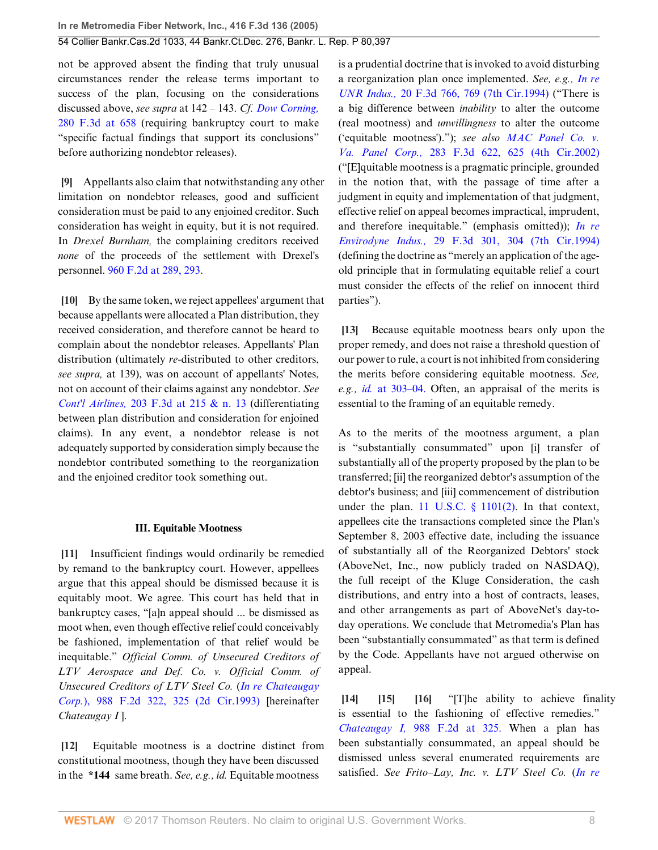not be approved absent the finding that truly unusual circumstances render the release terms important to success of the plan, focusing on the considerations discussed above, *see supra* at 142 – 143. *Cf. [Dow Corning,](http://www.westlaw.com/Link/Document/FullText?findType=Y&serNum=2002096126&pubNum=506&originatingDoc=Iec8c98defa3811d9bf60c1d57ebc853e&refType=RP&fi=co_pp_sp_506_658&originationContext=document&vr=3.0&rs=cblt1.0&transitionType=DocumentItem&contextData=(sc.UserEnteredCitation)#co_pp_sp_506_658)* [280 F.3d at 658](http://www.westlaw.com/Link/Document/FullText?findType=Y&serNum=2002096126&pubNum=506&originatingDoc=Iec8c98defa3811d9bf60c1d57ebc853e&refType=RP&fi=co_pp_sp_506_658&originationContext=document&vr=3.0&rs=cblt1.0&transitionType=DocumentItem&contextData=(sc.UserEnteredCitation)#co_pp_sp_506_658) (requiring bankruptcy court to make "specific factual findings that support its conclusions" before authorizing nondebtor releases).

<span id="page-7-0"></span>**[\[9](#page-1-5)]** Appellants also claim that notwithstanding any other limitation on nondebtor releases, good and sufficient consideration must be paid to any enjoined creditor. Such consideration has weight in equity, but it is not required. In *Drexel Burnham,* the complaining creditors received *none* of the proceeds of the settlement with Drexel's personnel. [960 F.2d at 289, 293](http://www.westlaw.com/Link/Document/FullText?findType=Y&serNum=1992066084&pubNum=350&originatingDoc=Iec8c98defa3811d9bf60c1d57ebc853e&refType=RP&fi=co_pp_sp_350_289&originationContext=document&vr=3.0&rs=cblt1.0&transitionType=DocumentItem&contextData=(sc.UserEnteredCitation)#co_pp_sp_350_289).

<span id="page-7-1"></span>**[\[10](#page-1-6)]** By the same token, we reject appellees' argument that because appellants were allocated a Plan distribution, they received consideration, and therefore cannot be heard to complain about the nondebtor releases. Appellants' Plan distribution (ultimately *re*-distributed to other creditors, *see supra,* at 139), was on account of appellants' Notes, not on account of their claims against any nondebtor. *See Cont'l Airlines,* [203 F.3d at 215 & n. 13](http://www.westlaw.com/Link/Document/FullText?findType=Y&serNum=2000044294&pubNum=506&originatingDoc=Iec8c98defa3811d9bf60c1d57ebc853e&refType=RP&fi=co_pp_sp_506_215&originationContext=document&vr=3.0&rs=cblt1.0&transitionType=DocumentItem&contextData=(sc.UserEnteredCitation)#co_pp_sp_506_215) (differentiating between plan distribution and consideration for enjoined claims). In any event, a nondebtor release is not adequately supported by consideration simply because the nondebtor contributed something to the reorganization and the enjoined creditor took something out.

#### **III. Equitable Mootness**

<span id="page-7-2"></span>**[\[11](#page-1-7)]** Insufficient findings would ordinarily be remedied by remand to the bankruptcy court. However, appellees argue that this appeal should be dismissed because it is equitably moot. We agree. This court has held that in bankruptcy cases, "[a]n appeal should ... be dismissed as moot when, even though effective relief could conceivably be fashioned, implementation of that relief would be inequitable." *Official Comm. of Unsecured Creditors of LTV Aerospace and Def. Co. v. Official Comm. of Unsecured Creditors of LTV Steel Co.* (*[In re Chateaugay](http://www.westlaw.com/Link/Document/FullText?findType=Y&serNum=1993064360&pubNum=350&originatingDoc=Iec8c98defa3811d9bf60c1d57ebc853e&refType=RP&fi=co_pp_sp_350_325&originationContext=document&vr=3.0&rs=cblt1.0&transitionType=DocumentItem&contextData=(sc.UserEnteredCitation)#co_pp_sp_350_325) Corp.*[\), 988 F.2d 322, 325 \(2d Cir.1993\)](http://www.westlaw.com/Link/Document/FullText?findType=Y&serNum=1993064360&pubNum=350&originatingDoc=Iec8c98defa3811d9bf60c1d57ebc853e&refType=RP&fi=co_pp_sp_350_325&originationContext=document&vr=3.0&rs=cblt1.0&transitionType=DocumentItem&contextData=(sc.UserEnteredCitation)#co_pp_sp_350_325) [hereinafter *Chateaugay I* ].

<span id="page-7-3"></span>**[\[12](#page-1-8)]** Equitable mootness is a doctrine distinct from constitutional mootness, though they have been discussed in the **\*144** same breath. *See, e.g., id.* Equitable mootness

is a prudential doctrine that is invoked to avoid disturbing a reorganization plan once implemented. *See, e.g., [In re](http://www.westlaw.com/Link/Document/FullText?findType=Y&serNum=1994077693&pubNum=506&originatingDoc=Iec8c98defa3811d9bf60c1d57ebc853e&refType=RP&fi=co_pp_sp_506_769&originationContext=document&vr=3.0&rs=cblt1.0&transitionType=DocumentItem&contextData=(sc.UserEnteredCitation)#co_pp_sp_506_769) UNR Indus.,* [20 F.3d 766, 769 \(7th Cir.1994\)](http://www.westlaw.com/Link/Document/FullText?findType=Y&serNum=1994077693&pubNum=506&originatingDoc=Iec8c98defa3811d9bf60c1d57ebc853e&refType=RP&fi=co_pp_sp_506_769&originationContext=document&vr=3.0&rs=cblt1.0&transitionType=DocumentItem&contextData=(sc.UserEnteredCitation)#co_pp_sp_506_769) ("There is a big difference between *inability* to alter the outcome (real mootness) and *unwillingness* to alter the outcome ('equitable mootness')."); *see also [MAC Panel Co. v.](http://www.westlaw.com/Link/Document/FullText?findType=Y&serNum=2002166054&pubNum=506&originatingDoc=Iec8c98defa3811d9bf60c1d57ebc853e&refType=RP&fi=co_pp_sp_506_625&originationContext=document&vr=3.0&rs=cblt1.0&transitionType=DocumentItem&contextData=(sc.UserEnteredCitation)#co_pp_sp_506_625) Va. Panel Corp.,* [283 F.3d 622, 625 \(4th Cir.2002\)](http://www.westlaw.com/Link/Document/FullText?findType=Y&serNum=2002166054&pubNum=506&originatingDoc=Iec8c98defa3811d9bf60c1d57ebc853e&refType=RP&fi=co_pp_sp_506_625&originationContext=document&vr=3.0&rs=cblt1.0&transitionType=DocumentItem&contextData=(sc.UserEnteredCitation)#co_pp_sp_506_625) ("[E]quitable mootness is a pragmatic principle, grounded in the notion that, with the passage of time after a judgment in equity and implementation of that judgment, effective relief on appeal becomes impractical, imprudent, and therefore inequitable." (emphasis omitted)); *[In re](http://www.westlaw.com/Link/Document/FullText?findType=Y&serNum=1994149007&pubNum=506&originatingDoc=Iec8c98defa3811d9bf60c1d57ebc853e&refType=RP&fi=co_pp_sp_506_304&originationContext=document&vr=3.0&rs=cblt1.0&transitionType=DocumentItem&contextData=(sc.UserEnteredCitation)#co_pp_sp_506_304) Envirodyne Indus.,* [29 F.3d 301, 304 \(7th Cir.1994\)](http://www.westlaw.com/Link/Document/FullText?findType=Y&serNum=1994149007&pubNum=506&originatingDoc=Iec8c98defa3811d9bf60c1d57ebc853e&refType=RP&fi=co_pp_sp_506_304&originationContext=document&vr=3.0&rs=cblt1.0&transitionType=DocumentItem&contextData=(sc.UserEnteredCitation)#co_pp_sp_506_304) (defining the doctrine as "merely an application of the ageold principle that in formulating equitable relief a court must consider the effects of the relief on innocent third parties").

<span id="page-7-4"></span>**[\[13](#page-1-9)]** Because equitable mootness bears only upon the proper remedy, and does not raise a threshold question of our power to rule, a court is not inhibited from considering the merits before considering equitable mootness. *See, e.g., id.* [at 303–04.](http://www.westlaw.com/Link/Document/FullText?findType=Y&serNum=1994149007&originatingDoc=Iec8c98defa3811d9bf60c1d57ebc853e&refType=RP&originationContext=document&vr=3.0&rs=cblt1.0&transitionType=DocumentItem&contextData=(sc.UserEnteredCitation)) Often, an appraisal of the merits is essential to the framing of an equitable remedy.

As to the merits of the mootness argument, a plan is "substantially consummated" upon [i] transfer of substantially all of the property proposed by the plan to be transferred; [ii] the reorganized debtor's assumption of the debtor's business; and [iii] commencement of distribution under the plan. 11 U.S.C.  $\S$  1101(2). In that context, appellees cite the transactions completed since the Plan's September 8, 2003 effective date, including the issuance of substantially all of the Reorganized Debtors' stock (AboveNet, Inc., now publicly traded on NASDAQ), the full receipt of the Kluge Consideration, the cash distributions, and entry into a host of contracts, leases, and other arrangements as part of AboveNet's day-today operations. We conclude that Metromedia's Plan has been "substantially consummated" as that term is defined by the Code. Appellants have not argued otherwise on appeal.

<span id="page-7-7"></span><span id="page-7-6"></span><span id="page-7-5"></span>**[\[14](#page-2-1)] [\[15\]](#page-2-2) [\[16](#page-2-3)]** "[T]he ability to achieve finality is essential to the fashioning of effective remedies." *Chateaugay I,* [988 F.2d at 325.](http://www.westlaw.com/Link/Document/FullText?findType=Y&serNum=1993064360&pubNum=350&originatingDoc=Iec8c98defa3811d9bf60c1d57ebc853e&refType=RP&fi=co_pp_sp_350_325&originationContext=document&vr=3.0&rs=cblt1.0&transitionType=DocumentItem&contextData=(sc.UserEnteredCitation)#co_pp_sp_350_325) When a plan has been substantially consummated, an appeal should be dismissed unless several enumerated requirements are satisfied. *See Frito–Lay, Inc. v. LTV Steel Co.* (*[In re](http://www.westlaw.com/Link/Document/FullText?findType=Y&serNum=1993225624&pubNum=506&originatingDoc=Iec8c98defa3811d9bf60c1d57ebc853e&refType=RP&fi=co_pp_sp_506_952&originationContext=document&vr=3.0&rs=cblt1.0&transitionType=DocumentItem&contextData=(sc.UserEnteredCitation)#co_pp_sp_506_952)*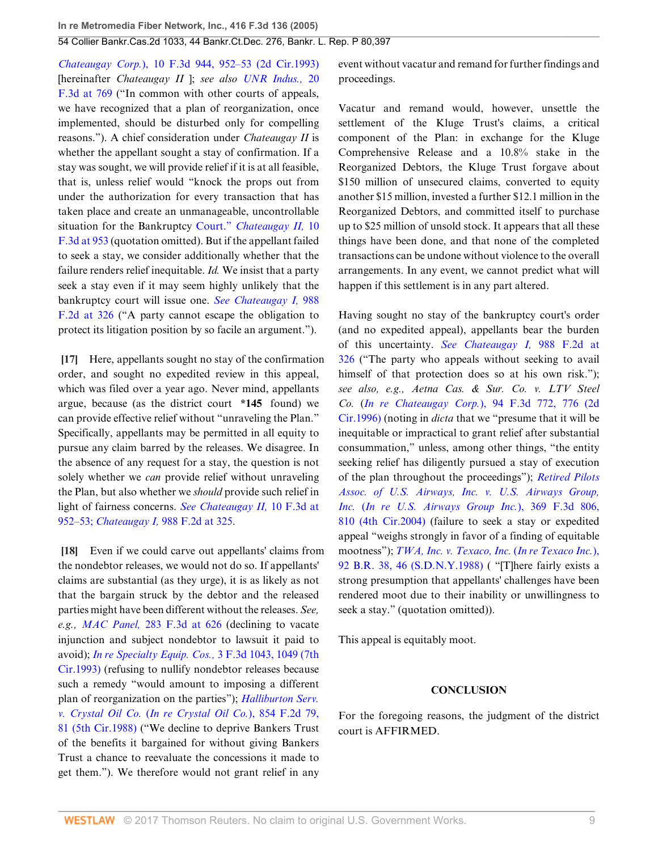*Chateaugay Corp.*[\), 10 F.3d 944, 952–53 \(2d Cir.1993\)](http://www.westlaw.com/Link/Document/FullText?findType=Y&serNum=1993225624&pubNum=506&originatingDoc=Iec8c98defa3811d9bf60c1d57ebc853e&refType=RP&fi=co_pp_sp_506_952&originationContext=document&vr=3.0&rs=cblt1.0&transitionType=DocumentItem&contextData=(sc.UserEnteredCitation)#co_pp_sp_506_952) [hereinafter *Chateaugay II* ]; *see also [UNR Indus.,](http://www.westlaw.com/Link/Document/FullText?findType=Y&serNum=1994077693&pubNum=506&originatingDoc=Iec8c98defa3811d9bf60c1d57ebc853e&refType=RP&fi=co_pp_sp_506_769&originationContext=document&vr=3.0&rs=cblt1.0&transitionType=DocumentItem&contextData=(sc.UserEnteredCitation)#co_pp_sp_506_769)* 20 [F.3d at 769](http://www.westlaw.com/Link/Document/FullText?findType=Y&serNum=1994077693&pubNum=506&originatingDoc=Iec8c98defa3811d9bf60c1d57ebc853e&refType=RP&fi=co_pp_sp_506_769&originationContext=document&vr=3.0&rs=cblt1.0&transitionType=DocumentItem&contextData=(sc.UserEnteredCitation)#co_pp_sp_506_769) ("In common with other courts of appeals, we have recognized that a plan of reorganization, once implemented, should be disturbed only for compelling reasons."). A chief consideration under *Chateaugay II* is whether the appellant sought a stay of confirmation. If a stay was sought, we will provide relief if it is at all feasible, that is, unless relief would "knock the props out from under the authorization for every transaction that has taken place and create an unmanageable, uncontrollable situation for the Bankruptcy Court." *[Chateaugay II,](http://www.westlaw.com/Link/Document/FullText?findType=Y&serNum=1993225624&pubNum=506&originatingDoc=Iec8c98defa3811d9bf60c1d57ebc853e&refType=RP&fi=co_pp_sp_506_953&originationContext=document&vr=3.0&rs=cblt1.0&transitionType=DocumentItem&contextData=(sc.UserEnteredCitation)#co_pp_sp_506_953)* 10 [F.3d at 953](http://www.westlaw.com/Link/Document/FullText?findType=Y&serNum=1993225624&pubNum=506&originatingDoc=Iec8c98defa3811d9bf60c1d57ebc853e&refType=RP&fi=co_pp_sp_506_953&originationContext=document&vr=3.0&rs=cblt1.0&transitionType=DocumentItem&contextData=(sc.UserEnteredCitation)#co_pp_sp_506_953) (quotation omitted). But if the appellant failed to seek a stay, we consider additionally whether that the failure renders relief inequitable. *Id.* We insist that a party seek a stay even if it may seem highly unlikely that the bankruptcy court will issue one. *[See Chateaugay I,](http://www.westlaw.com/Link/Document/FullText?findType=Y&serNum=1993064360&pubNum=350&originatingDoc=Iec8c98defa3811d9bf60c1d57ebc853e&refType=RP&fi=co_pp_sp_350_326&originationContext=document&vr=3.0&rs=cblt1.0&transitionType=DocumentItem&contextData=(sc.UserEnteredCitation)#co_pp_sp_350_326)* 988 [F.2d at 326](http://www.westlaw.com/Link/Document/FullText?findType=Y&serNum=1993064360&pubNum=350&originatingDoc=Iec8c98defa3811d9bf60c1d57ebc853e&refType=RP&fi=co_pp_sp_350_326&originationContext=document&vr=3.0&rs=cblt1.0&transitionType=DocumentItem&contextData=(sc.UserEnteredCitation)#co_pp_sp_350_326) ("A party cannot escape the obligation to protect its litigation position by so facile an argument.").

<span id="page-8-0"></span>**[\[17](#page-2-4)]** Here, appellants sought no stay of the confirmation order, and sought no expedited review in this appeal, which was filed over a year ago. Never mind, appellants argue, because (as the district court **\*145** found) we can provide effective relief without "unraveling the Plan." Specifically, appellants may be permitted in all equity to pursue any claim barred by the releases. We disagree. In the absence of any request for a stay, the question is not solely whether we *can* provide relief without unraveling the Plan, but also whether we *should* provide such relief in light of fairness concerns. *[See Chateaugay II,](http://www.westlaw.com/Link/Document/FullText?findType=Y&serNum=1993225624&pubNum=506&originatingDoc=Iec8c98defa3811d9bf60c1d57ebc853e&refType=RP&fi=co_pp_sp_506_952&originationContext=document&vr=3.0&rs=cblt1.0&transitionType=DocumentItem&contextData=(sc.UserEnteredCitation)#co_pp_sp_506_952)* 10 F.3d at [952–53;](http://www.westlaw.com/Link/Document/FullText?findType=Y&serNum=1993225624&pubNum=506&originatingDoc=Iec8c98defa3811d9bf60c1d57ebc853e&refType=RP&fi=co_pp_sp_506_952&originationContext=document&vr=3.0&rs=cblt1.0&transitionType=DocumentItem&contextData=(sc.UserEnteredCitation)#co_pp_sp_506_952) *Chateaugay I,* [988 F.2d at 325](http://www.westlaw.com/Link/Document/FullText?findType=Y&serNum=1993064360&pubNum=350&originatingDoc=Iec8c98defa3811d9bf60c1d57ebc853e&refType=RP&fi=co_pp_sp_350_325&originationContext=document&vr=3.0&rs=cblt1.0&transitionType=DocumentItem&contextData=(sc.UserEnteredCitation)#co_pp_sp_350_325).

<span id="page-8-1"></span>**[\[18](#page-2-0)]** Even if we could carve out appellants' claims from the nondebtor releases, we would not do so. If appellants' claims are substantial (as they urge), it is as likely as not that the bargain struck by the debtor and the released parties might have been different without the releases. *See, e.g., MAC Panel,* [283 F.3d at 626](http://www.westlaw.com/Link/Document/FullText?findType=Y&serNum=2002166054&pubNum=506&originatingDoc=Iec8c98defa3811d9bf60c1d57ebc853e&refType=RP&fi=co_pp_sp_506_626&originationContext=document&vr=3.0&rs=cblt1.0&transitionType=DocumentItem&contextData=(sc.UserEnteredCitation)#co_pp_sp_506_626) (declining to vacate injunction and subject nondebtor to lawsuit it paid to avoid); *[In re Specialty Equip. Cos.,](http://www.westlaw.com/Link/Document/FullText?findType=Y&serNum=1993166288&pubNum=506&originatingDoc=Iec8c98defa3811d9bf60c1d57ebc853e&refType=RP&fi=co_pp_sp_506_1049&originationContext=document&vr=3.0&rs=cblt1.0&transitionType=DocumentItem&contextData=(sc.UserEnteredCitation)#co_pp_sp_506_1049)* 3 F.3d 1043, 1049 (7th [Cir.1993\)](http://www.westlaw.com/Link/Document/FullText?findType=Y&serNum=1993166288&pubNum=506&originatingDoc=Iec8c98defa3811d9bf60c1d57ebc853e&refType=RP&fi=co_pp_sp_506_1049&originationContext=document&vr=3.0&rs=cblt1.0&transitionType=DocumentItem&contextData=(sc.UserEnteredCitation)#co_pp_sp_506_1049) (refusing to nullify nondebtor releases because such a remedy "would amount to imposing a different plan of reorganization on the parties"); *[Halliburton Serv.](http://www.westlaw.com/Link/Document/FullText?findType=Y&serNum=1988105345&pubNum=350&originatingDoc=Iec8c98defa3811d9bf60c1d57ebc853e&refType=RP&fi=co_pp_sp_350_81&originationContext=document&vr=3.0&rs=cblt1.0&transitionType=DocumentItem&contextData=(sc.UserEnteredCitation)#co_pp_sp_350_81) v. Crystal Oil Co.* (*[In re Crystal Oil Co.](http://www.westlaw.com/Link/Document/FullText?findType=Y&serNum=1988105345&pubNum=350&originatingDoc=Iec8c98defa3811d9bf60c1d57ebc853e&refType=RP&fi=co_pp_sp_350_81&originationContext=document&vr=3.0&rs=cblt1.0&transitionType=DocumentItem&contextData=(sc.UserEnteredCitation)#co_pp_sp_350_81)*), 854 F.2d 79, [81 \(5th Cir.1988\)](http://www.westlaw.com/Link/Document/FullText?findType=Y&serNum=1988105345&pubNum=350&originatingDoc=Iec8c98defa3811d9bf60c1d57ebc853e&refType=RP&fi=co_pp_sp_350_81&originationContext=document&vr=3.0&rs=cblt1.0&transitionType=DocumentItem&contextData=(sc.UserEnteredCitation)#co_pp_sp_350_81) ("We decline to deprive Bankers Trust of the benefits it bargained for without giving Bankers Trust a chance to reevaluate the concessions it made to get them."). We therefore would not grant relief in any

event without vacatur and remand for further findings and proceedings.

Vacatur and remand would, however, unsettle the settlement of the Kluge Trust's claims, a critical component of the Plan: in exchange for the Kluge Comprehensive Release and a 10.8% stake in the Reorganized Debtors, the Kluge Trust forgave about \$150 million of unsecured claims, converted to equity another \$15 million, invested a further \$12.1 million in the Reorganized Debtors, and committed itself to purchase up to \$25 million of unsold stock. It appears that all these things have been done, and that none of the completed transactions can be undone without violence to the overall arrangements. In any event, we cannot predict what will happen if this settlement is in any part altered.

Having sought no stay of the bankruptcy court's order (and no expedited appeal), appellants bear the burden of this uncertainty. *[See Chateaugay I,](http://www.westlaw.com/Link/Document/FullText?findType=Y&serNum=1993064360&pubNum=350&originatingDoc=Iec8c98defa3811d9bf60c1d57ebc853e&refType=RP&fi=co_pp_sp_350_326&originationContext=document&vr=3.0&rs=cblt1.0&transitionType=DocumentItem&contextData=(sc.UserEnteredCitation)#co_pp_sp_350_326)* 988 F.2d at [326](http://www.westlaw.com/Link/Document/FullText?findType=Y&serNum=1993064360&pubNum=350&originatingDoc=Iec8c98defa3811d9bf60c1d57ebc853e&refType=RP&fi=co_pp_sp_350_326&originationContext=document&vr=3.0&rs=cblt1.0&transitionType=DocumentItem&contextData=(sc.UserEnteredCitation)#co_pp_sp_350_326) ("The party who appeals without seeking to avail himself of that protection does so at his own risk."); *see also, e.g., Aetna Cas. & Sur. Co. v. LTV Steel Co.* (*In re Chateaugay Corp.*[\), 94 F.3d 772, 776 \(2d](http://www.westlaw.com/Link/Document/FullText?findType=Y&serNum=1996200713&pubNum=506&originatingDoc=Iec8c98defa3811d9bf60c1d57ebc853e&refType=RP&fi=co_pp_sp_506_776&originationContext=document&vr=3.0&rs=cblt1.0&transitionType=DocumentItem&contextData=(sc.UserEnteredCitation)#co_pp_sp_506_776) [Cir.1996\)](http://www.westlaw.com/Link/Document/FullText?findType=Y&serNum=1996200713&pubNum=506&originatingDoc=Iec8c98defa3811d9bf60c1d57ebc853e&refType=RP&fi=co_pp_sp_506_776&originationContext=document&vr=3.0&rs=cblt1.0&transitionType=DocumentItem&contextData=(sc.UserEnteredCitation)#co_pp_sp_506_776) (noting in *dicta* that we "presume that it will be inequitable or impractical to grant relief after substantial consummation," unless, among other things, "the entity seeking relief has diligently pursued a stay of execution of the plan throughout the proceedings"); *[Retired Pilots](http://www.westlaw.com/Link/Document/FullText?findType=Y&serNum=2004516834&pubNum=506&originatingDoc=Iec8c98defa3811d9bf60c1d57ebc853e&refType=RP&fi=co_pp_sp_506_810&originationContext=document&vr=3.0&rs=cblt1.0&transitionType=DocumentItem&contextData=(sc.UserEnteredCitation)#co_pp_sp_506_810) [Assoc. of U.S. Airways, Inc. v. U.S. Airways Group,](http://www.westlaw.com/Link/Document/FullText?findType=Y&serNum=2004516834&pubNum=506&originatingDoc=Iec8c98defa3811d9bf60c1d57ebc853e&refType=RP&fi=co_pp_sp_506_810&originationContext=document&vr=3.0&rs=cblt1.0&transitionType=DocumentItem&contextData=(sc.UserEnteredCitation)#co_pp_sp_506_810) Inc.* (*[In re U.S. Airways Group Inc.](http://www.westlaw.com/Link/Document/FullText?findType=Y&serNum=2004516834&pubNum=506&originatingDoc=Iec8c98defa3811d9bf60c1d57ebc853e&refType=RP&fi=co_pp_sp_506_810&originationContext=document&vr=3.0&rs=cblt1.0&transitionType=DocumentItem&contextData=(sc.UserEnteredCitation)#co_pp_sp_506_810)*), 369 F.3d 806, [810 \(4th Cir.2004\)](http://www.westlaw.com/Link/Document/FullText?findType=Y&serNum=2004516834&pubNum=506&originatingDoc=Iec8c98defa3811d9bf60c1d57ebc853e&refType=RP&fi=co_pp_sp_506_810&originationContext=document&vr=3.0&rs=cblt1.0&transitionType=DocumentItem&contextData=(sc.UserEnteredCitation)#co_pp_sp_506_810) (failure to seek a stay or expedited appeal "weighs strongly in favor of a finding of equitable mootness"); *[TWA, Inc. v. Texaco, Inc.](http://www.westlaw.com/Link/Document/FullText?findType=Y&serNum=1988123821&pubNum=164&originatingDoc=Iec8c98defa3811d9bf60c1d57ebc853e&refType=RP&fi=co_pp_sp_164_46&originationContext=document&vr=3.0&rs=cblt1.0&transitionType=DocumentItem&contextData=(sc.UserEnteredCitation)#co_pp_sp_164_46)* (*In re Texaco Inc.*), [92 B.R. 38, 46 \(S.D.N.Y.1988\)](http://www.westlaw.com/Link/Document/FullText?findType=Y&serNum=1988123821&pubNum=164&originatingDoc=Iec8c98defa3811d9bf60c1d57ebc853e&refType=RP&fi=co_pp_sp_164_46&originationContext=document&vr=3.0&rs=cblt1.0&transitionType=DocumentItem&contextData=(sc.UserEnteredCitation)#co_pp_sp_164_46) ( "[T]here fairly exists a strong presumption that appellants' challenges have been rendered moot due to their inability or unwillingness to seek a stay." (quotation omitted)).

This appeal is equitably moot.

#### **CONCLUSION**

For the foregoing reasons, the judgment of the district court is AFFIRMED.